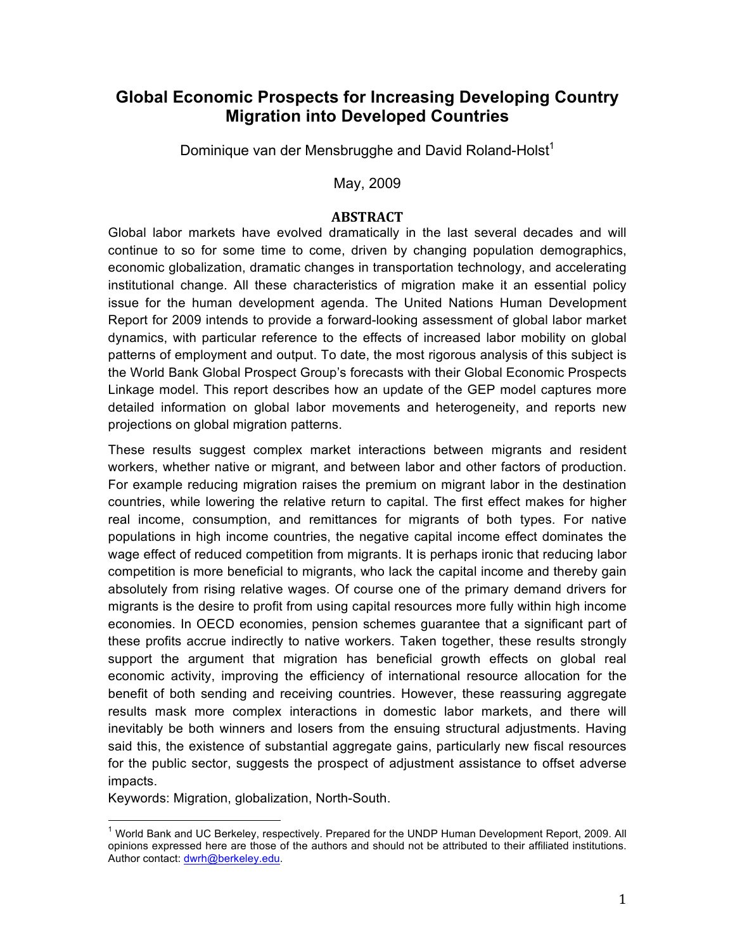# **Global Economic Prospects for Increasing Developing Country Migration into Developed Countries**

Dominique van der Mensbrugghe and David Roland-Holst $1$ 

May, 2009

# **ABSTRACT**

Global labor markets have evolved dramatically in the last several decades and will continue to so for some time to come, driven by changing population demographics, economic globalization, dramatic changes in transportation technology, and accelerating institutional change. All these characteristics of migration make it an essential policy issue for the human development agenda. The United Nations Human Development Report for 2009 intends to provide a forward-looking assessment of global labor market dynamics, with particular reference to the effects of increased labor mobility on global patterns of employment and output. To date, the most rigorous analysis of this subject is the World Bank Global Prospect Group's forecasts with their Global Economic Prospects Linkage model. This report describes how an update of the GEP model captures more detailed information on global labor movements and heterogeneity, and reports new projections on global migration patterns.

These results suggest complex market interactions between migrants and resident workers, whether native or migrant, and between labor and other factors of production. For example reducing migration raises the premium on migrant labor in the destination countries, while lowering the relative return to capital. The first effect makes for higher real income, consumption, and remittances for migrants of both types. For native populations in high income countries, the negative capital income effect dominates the wage effect of reduced competition from migrants. It is perhaps ironic that reducing labor competition is more beneficial to migrants, who lack the capital income and thereby gain absolutely from rising relative wages. Of course one of the primary demand drivers for migrants is the desire to profit from using capital resources more fully within high income economies. In OECD economies, pension schemes guarantee that a significant part of these profits accrue indirectly to native workers. Taken together, these results strongly support the argument that migration has beneficial growth effects on global real economic activity, improving the efficiency of international resource allocation for the benefit of both sending and receiving countries. However, these reassuring aggregate results mask more complex interactions in domestic labor markets, and there will inevitably be both winners and losers from the ensuing structural adjustments. Having said this, the existence of substantial aggregate gains, particularly new fiscal resources for the public sector, suggests the prospect of adjustment assistance to offset adverse impacts.

Keywords: Migration, globalization, North-South.

<sup>&</sup>lt;sup>1</sup> World Bank and UC Berkeley, respectively. Prepared for the UNDP Human Development Report, 2009. All opinions expressed here are those of the authors and should not be attributed to their affiliated institutions. Author contact: dwrh@berkeley.edu.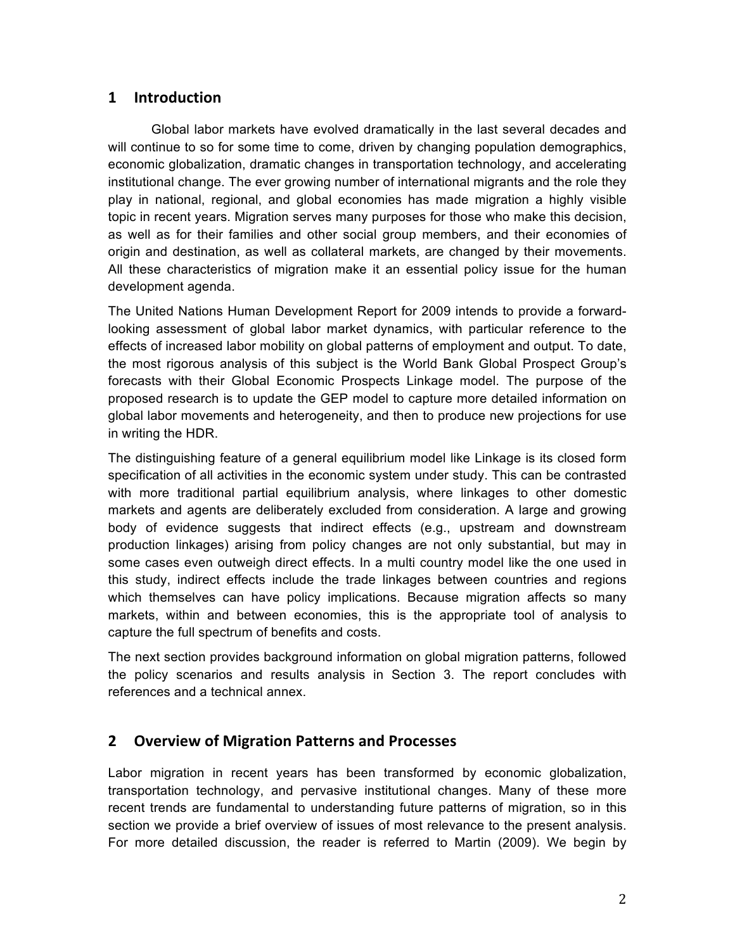# **1 Introduction**

Global labor markets have evolved dramatically in the last several decades and will continue to so for some time to come, driven by changing population demographics, economic globalization, dramatic changes in transportation technology, and accelerating institutional change. The ever growing number of international migrants and the role they play in national, regional, and global economies has made migration a highly visible topic in recent years. Migration serves many purposes for those who make this decision, as well as for their families and other social group members, and their economies of origin and destination, as well as collateral markets, are changed by their movements. All these characteristics of migration make it an essential policy issue for the human development agenda.

The United Nations Human Development Report for 2009 intends to provide a forwardlooking assessment of global labor market dynamics, with particular reference to the effects of increased labor mobility on global patterns of employment and output. To date, the most rigorous analysis of this subject is the World Bank Global Prospect Group's forecasts with their Global Economic Prospects Linkage model. The purpose of the proposed research is to update the GEP model to capture more detailed information on global labor movements and heterogeneity, and then to produce new projections for use in writing the HDR.

The distinguishing feature of a general equilibrium model like Linkage is its closed form specification of all activities in the economic system under study. This can be contrasted with more traditional partial equilibrium analysis, where linkages to other domestic markets and agents are deliberately excluded from consideration. A large and growing body of evidence suggests that indirect effects (e.g., upstream and downstream production linkages) arising from policy changes are not only substantial, but may in some cases even outweigh direct effects. In a multi country model like the one used in this study, indirect effects include the trade linkages between countries and regions which themselves can have policy implications. Because migration affects so many markets, within and between economies, this is the appropriate tool of analysis to capture the full spectrum of benefits and costs.

The next section provides background information on global migration patterns, followed the policy scenarios and results analysis in Section 3. The report concludes with references and a technical annex.

# **2 Overview of Migration Patterns and Processes**

Labor migration in recent years has been transformed by economic globalization, transportation technology, and pervasive institutional changes. Many of these more recent trends are fundamental to understanding future patterns of migration, so in this section we provide a brief overview of issues of most relevance to the present analysis. For more detailed discussion, the reader is referred to Martin (2009). We begin by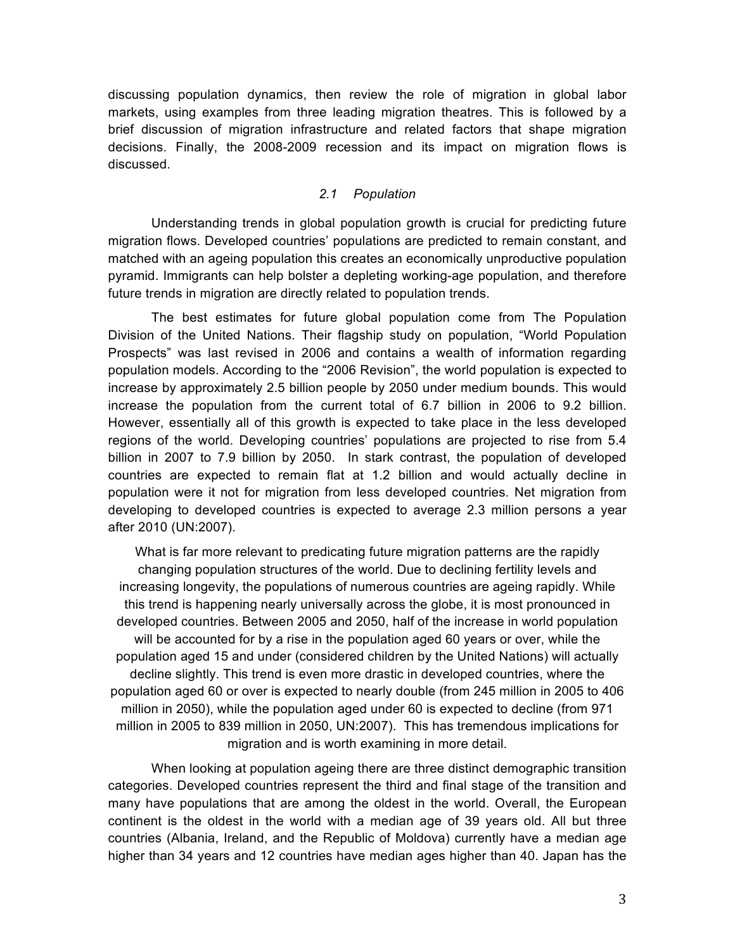discussing population dynamics, then review the role of migration in global labor markets, using examples from three leading migration theatres. This is followed by a brief discussion of migration infrastructure and related factors that shape migration decisions. Finally, the 2008-2009 recession and its impact on migration flows is discussed.

### *2.1 Population*

Understanding trends in global population growth is crucial for predicting future migration flows. Developed countries' populations are predicted to remain constant, and matched with an ageing population this creates an economically unproductive population pyramid. Immigrants can help bolster a depleting working-age population, and therefore future trends in migration are directly related to population trends.

The best estimates for future global population come from The Population Division of the United Nations. Their flagship study on population, "World Population Prospects" was last revised in 2006 and contains a wealth of information regarding population models. According to the "2006 Revision", the world population is expected to increase by approximately 2.5 billion people by 2050 under medium bounds. This would increase the population from the current total of 6.7 billion in 2006 to 9.2 billion. However, essentially all of this growth is expected to take place in the less developed regions of the world. Developing countries' populations are projected to rise from 5.4 billion in 2007 to 7.9 billion by 2050. In stark contrast, the population of developed countries are expected to remain flat at 1.2 billion and would actually decline in population were it not for migration from less developed countries. Net migration from developing to developed countries is expected to average 2.3 million persons a year after 2010 (UN:2007).

What is far more relevant to predicating future migration patterns are the rapidly changing population structures of the world. Due to declining fertility levels and increasing longevity, the populations of numerous countries are ageing rapidly. While this trend is happening nearly universally across the globe, it is most pronounced in developed countries. Between 2005 and 2050, half of the increase in world population will be accounted for by a rise in the population aged 60 years or over, while the population aged 15 and under (considered children by the United Nations) will actually decline slightly. This trend is even more drastic in developed countries, where the population aged 60 or over is expected to nearly double (from 245 million in 2005 to 406 million in 2050), while the population aged under 60 is expected to decline (from 971 million in 2005 to 839 million in 2050, UN:2007). This has tremendous implications for migration and is worth examining in more detail.

When looking at population ageing there are three distinct demographic transition categories. Developed countries represent the third and final stage of the transition and many have populations that are among the oldest in the world. Overall, the European continent is the oldest in the world with a median age of 39 years old. All but three countries (Albania, Ireland, and the Republic of Moldova) currently have a median age higher than 34 years and 12 countries have median ages higher than 40. Japan has the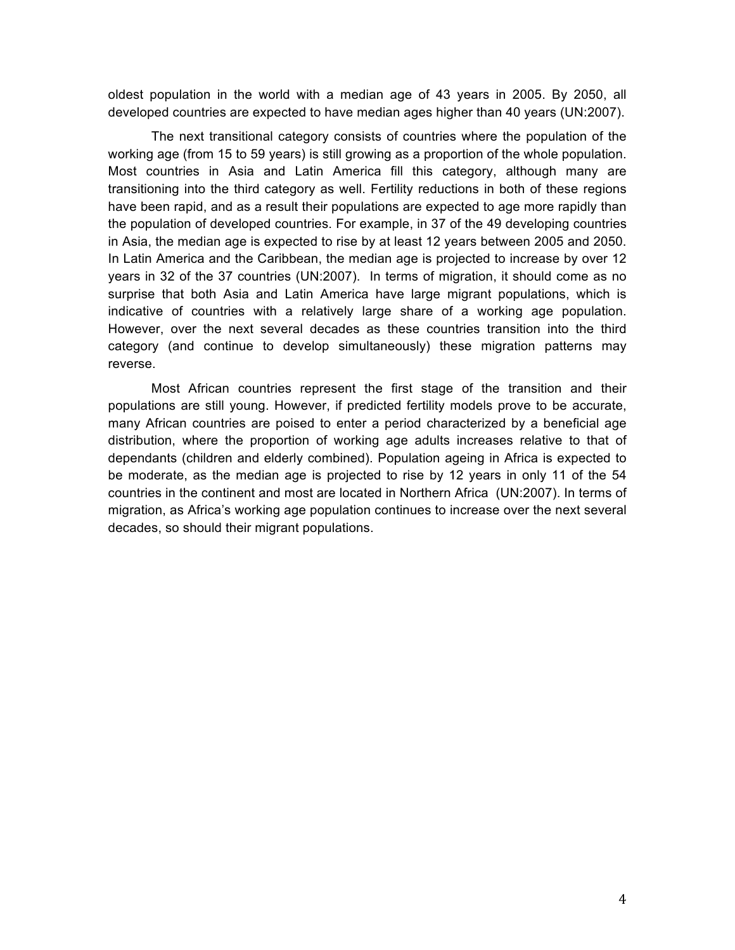oldest population in the world with a median age of 43 years in 2005. By 2050, all developed countries are expected to have median ages higher than 40 years (UN:2007).

The next transitional category consists of countries where the population of the working age (from 15 to 59 years) is still growing as a proportion of the whole population. Most countries in Asia and Latin America fill this category, although many are transitioning into the third category as well. Fertility reductions in both of these regions have been rapid, and as a result their populations are expected to age more rapidly than the population of developed countries. For example, in 37 of the 49 developing countries in Asia, the median age is expected to rise by at least 12 years between 2005 and 2050. In Latin America and the Caribbean, the median age is projected to increase by over 12 years in 32 of the 37 countries (UN:2007). In terms of migration, it should come as no surprise that both Asia and Latin America have large migrant populations, which is indicative of countries with a relatively large share of a working age population. However, over the next several decades as these countries transition into the third category (and continue to develop simultaneously) these migration patterns may reverse.

Most African countries represent the first stage of the transition and their populations are still young. However, if predicted fertility models prove to be accurate, many African countries are poised to enter a period characterized by a beneficial age distribution, where the proportion of working age adults increases relative to that of dependants (children and elderly combined). Population ageing in Africa is expected to be moderate, as the median age is projected to rise by 12 years in only 11 of the 54 countries in the continent and most are located in Northern Africa (UN:2007). In terms of migration, as Africa's working age population continues to increase over the next several decades, so should their migrant populations.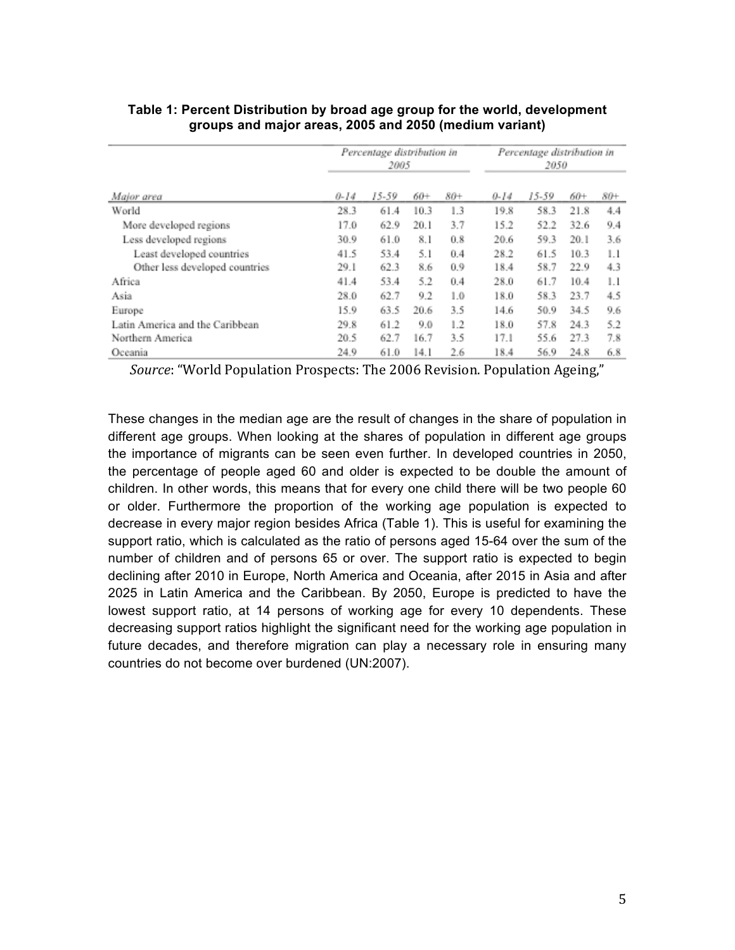|                                 | Percentage distribution in<br>2005 |       |      | Percentage distribution in<br>2050 |          |         |      |     |
|---------------------------------|------------------------------------|-------|------|------------------------------------|----------|---------|------|-----|
| Major area                      | $0 - 14$                           | 15-59 | 60+  | 80+                                | $0 - 14$ | $15-59$ | 60+  | 80+ |
| World                           | 28.3                               | 61.4  | 10.3 | 1.3                                | 19.8     | 58.3    | 21.8 | 4.4 |
| More developed regions          | 17.0                               | 62.9  | 20.1 | 3.7                                | 15.2     | 52.2    | 32.6 | 9.4 |
| Less developed regions          | 30.9                               | 61.0  | 8.1  | 0.8                                | 20.6     | 59.3    | 20.1 | 3.6 |
| Least developed countries       | 41.5                               | 53.4  | 5.1  | 0.4                                | 28.2     | 61.5    | 10.3 | 1.1 |
| Other less developed countries  | 29.1                               | 62.3  | 8.6  | 0.9                                | 18.4     | 58.7    | 22.9 | 4.3 |
| Africa                          | 41.4                               | 53.4  | 5.2  | 0.4                                | 28.0     | 61.7    | 10.4 | 1.1 |
| Asia                            | 28.0                               | 62.7  | 9.2  | 1.0                                | 18.0     | 58.3    | 23.7 | 4.5 |
| Europe                          | 15.9                               | 63.5  | 20.6 | 3.5                                | 14.6     | 50.9    | 34.5 | 9.6 |
| Latin America and the Caribbean | 29.8                               | 61.2  | 9.0  | 1.2                                | 18.0     | 57.8    | 24.3 | 5.2 |
| Northern America                | 20.5                               | 62.7  | 16.7 | 3.5                                | 17.1     | 55.6    | 27.3 | 7.8 |
| Oceania                         | 24.9                               | 61.0  | 14.1 | 2.6                                | 18.4     | 56.9    | 24.8 | 6.8 |

## **Table 1: Percent Distribution by broad age group for the world, development groups and major areas, 2005 and 2050 (medium variant)**

*Source*: "World Population Prospects: The 2006 Revision. Population Ageing,"

These changes in the median age are the result of changes in the share of population in different age groups. When looking at the shares of population in different age groups the importance of migrants can be seen even further. In developed countries in 2050, the percentage of people aged 60 and older is expected to be double the amount of children. In other words, this means that for every one child there will be two people 60 or older. Furthermore the proportion of the working age population is expected to decrease in every major region besides Africa (Table 1). This is useful for examining the support ratio, which is calculated as the ratio of persons aged 15-64 over the sum of the number of children and of persons 65 or over. The support ratio is expected to begin declining after 2010 in Europe, North America and Oceania, after 2015 in Asia and after 2025 in Latin America and the Caribbean. By 2050, Europe is predicted to have the lowest support ratio, at 14 persons of working age for every 10 dependents. These decreasing support ratios highlight the significant need for the working age population in future decades, and therefore migration can play a necessary role in ensuring many countries do not become over burdened (UN:2007).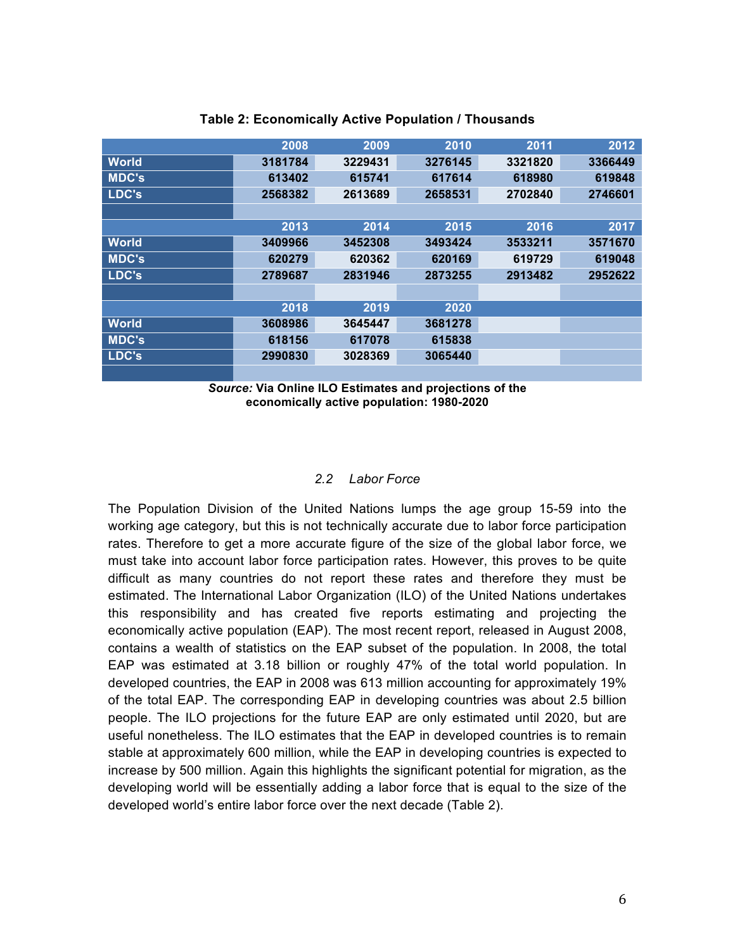|                             | 2008    | 2009    | 2010    | 2011    | 2012    |
|-----------------------------|---------|---------|---------|---------|---------|
| <b>World</b>                | 3181784 | 3229431 | 3276145 | 3321820 | 3366449 |
| <b>MDC's</b>                | 613402  | 615741  | 617614  | 618980  | 619848  |
| LDC's                       | 2568382 | 2613689 | 2658531 | 2702840 | 2746601 |
|                             |         |         |         |         |         |
|                             | 2013    | 2014    | 2015    | 2016    | 2017    |
| <b>World</b>                | 3409966 | 3452308 | 3493424 | 3533211 | 3571670 |
| <b>MDC's</b>                | 620279  | 620362  | 620169  | 619729  | 619048  |
| $\overline{\mathsf{LDC's}}$ | 2789687 | 2831946 | 2873255 | 2913482 | 2952622 |
|                             |         |         |         |         |         |
|                             | 2018    | 2019    | 2020    |         |         |
| <b>World</b>                | 3608986 | 3645447 | 3681278 |         |         |
| <b>MDC's</b>                | 618156  | 617078  | 615838  |         |         |
| LDC's                       | 2990830 | 3028369 | 3065440 |         |         |
|                             |         |         |         |         |         |

#### **Table 2: Economically Active Population / Thousands**

*Source:* **Via Online ILO Estimates and projections of the economically active population: 1980-2020** 

#### *2.2 Labor Force*

The Population Division of the United Nations lumps the age group 15-59 into the working age category, but this is not technically accurate due to labor force participation rates. Therefore to get a more accurate figure of the size of the global labor force, we must take into account labor force participation rates. However, this proves to be quite difficult as many countries do not report these rates and therefore they must be estimated. The International Labor Organization (ILO) of the United Nations undertakes this responsibility and has created five reports estimating and projecting the economically active population (EAP). The most recent report, released in August 2008, contains a wealth of statistics on the EAP subset of the population. In 2008, the total EAP was estimated at 3.18 billion or roughly 47% of the total world population. In developed countries, the EAP in 2008 was 613 million accounting for approximately 19% of the total EAP. The corresponding EAP in developing countries was about 2.5 billion people. The ILO projections for the future EAP are only estimated until 2020, but are useful nonetheless. The ILO estimates that the EAP in developed countries is to remain stable at approximately 600 million, while the EAP in developing countries is expected to increase by 500 million. Again this highlights the significant potential for migration, as the developing world will be essentially adding a labor force that is equal to the size of the developed world's entire labor force over the next decade (Table 2).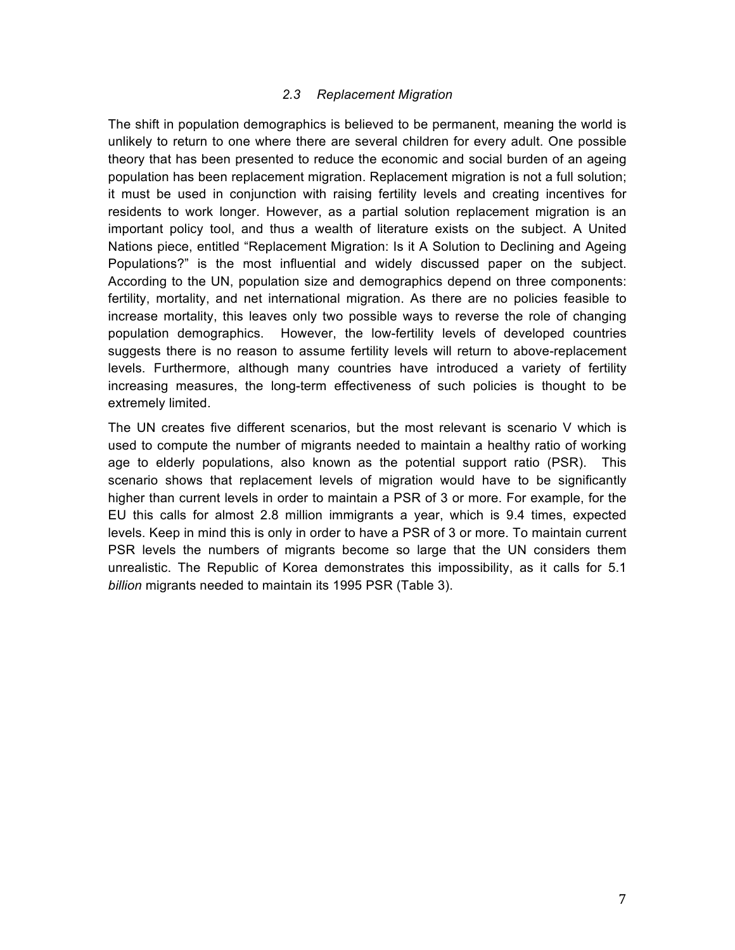### *2.3 Replacement Migration*

The shift in population demographics is believed to be permanent, meaning the world is unlikely to return to one where there are several children for every adult. One possible theory that has been presented to reduce the economic and social burden of an ageing population has been replacement migration. Replacement migration is not a full solution; it must be used in conjunction with raising fertility levels and creating incentives for residents to work longer. However, as a partial solution replacement migration is an important policy tool, and thus a wealth of literature exists on the subject. A United Nations piece, entitled "Replacement Migration: Is it A Solution to Declining and Ageing Populations?" is the most influential and widely discussed paper on the subject. According to the UN, population size and demographics depend on three components: fertility, mortality, and net international migration. As there are no policies feasible to increase mortality, this leaves only two possible ways to reverse the role of changing population demographics. However, the low-fertility levels of developed countries suggests there is no reason to assume fertility levels will return to above-replacement levels. Furthermore, although many countries have introduced a variety of fertility increasing measures, the long-term effectiveness of such policies is thought to be extremely limited.

The UN creates five different scenarios, but the most relevant is scenario V which is used to compute the number of migrants needed to maintain a healthy ratio of working age to elderly populations, also known as the potential support ratio (PSR). This scenario shows that replacement levels of migration would have to be significantly higher than current levels in order to maintain a PSR of 3 or more. For example, for the EU this calls for almost 2.8 million immigrants a year, which is 9.4 times, expected levels. Keep in mind this is only in order to have a PSR of 3 or more. To maintain current PSR levels the numbers of migrants become so large that the UN considers them unrealistic. The Republic of Korea demonstrates this impossibility, as it calls for 5.1 *billion* migrants needed to maintain its 1995 PSR (Table 3).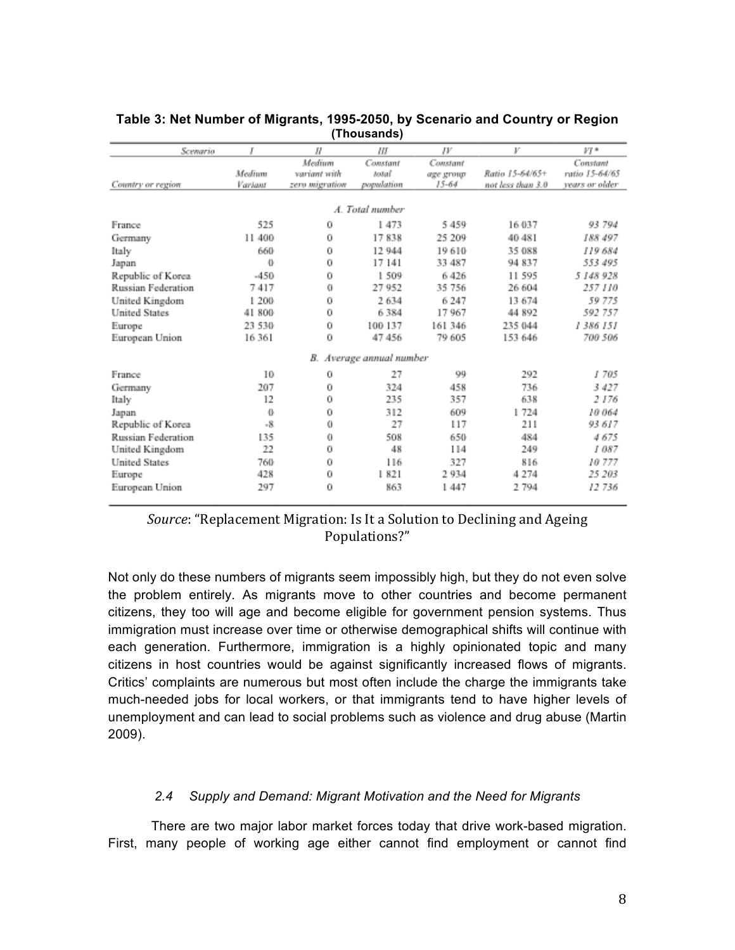| Scenario             | Ι        | П              | Ш                        | JV        | V                 | $VT*$          |  |  |  |  |
|----------------------|----------|----------------|--------------------------|-----------|-------------------|----------------|--|--|--|--|
|                      |          | Medium         | Constant                 | Constant  |                   | Constant       |  |  |  |  |
|                      | Medium   | wariant with   | hotal <sup>1</sup>       | age group | Ratio 15-64/65+   | ratio 15-64/65 |  |  |  |  |
| Country or region    | Variant  | zero migration | population               | $15 - 64$ | not less than 3.0 | vears or older |  |  |  |  |
| A. Total number      |          |                |                          |           |                   |                |  |  |  |  |
| France               | 525      | 0              | 1473                     | 5 4 5 9   | 16 037            | 93 794         |  |  |  |  |
| Germany              | 11 400   | 0              | 17838                    | 25 209    | 40 481            | 188 497        |  |  |  |  |
| Italy                | 660      | 0              | 12 944                   | 19610     | 35 088            | 119 684        |  |  |  |  |
| Japan                | $\theta$ | 0              | 17 14 1                  | 33 487    | 94 837            | 553 495        |  |  |  |  |
| Republic of Korea    | $-450$   | 0              | 1 509                    | 6426      | 11 595            | 5 148 928      |  |  |  |  |
| Russian Federation   | 7417     | 0              | 27 952                   | 35 756    | 26 604            | 257 110        |  |  |  |  |
| United Kingdom       | 1 200    | 0              | 2634                     | 6247      | 13 674            | 59 775         |  |  |  |  |
| <b>United States</b> | 41 800   | 0              | 6384                     | 17967     | 44 892            | 592 757        |  |  |  |  |
| Europe               | 23 530   | 0              | 100 137                  | 161 346   | 235 044           | 1 386 151      |  |  |  |  |
| European Union       | 16 361   | 0              | 47 45 6                  | 79 605    | 153 646           | 700 506        |  |  |  |  |
|                      |          |                | B. Average annual number |           |                   |                |  |  |  |  |
| France               | 10       | 0              | 27                       | 99        | 292               | 1705           |  |  |  |  |
| Germany              | 207      | 0              | 324                      | 458       | 736               | 3 427          |  |  |  |  |
| Italy                | 12       | 0              | 235                      | 357       | 638               | 2176           |  |  |  |  |
| Japan                | $\Phi$   | 0              | 312                      | 609       | 1724              | 10 064         |  |  |  |  |
| Republic of Korea    | $-8$     | 0              | 27                       | 117       | 211               | 93 617         |  |  |  |  |
| Russian Federation   | 135      | 0              | 508                      | 650       | 484               | 4675           |  |  |  |  |
| United Kingdom       | 22       | 0              | 48                       | 114       | 249               | 1087           |  |  |  |  |
| <b>United States</b> | 760      | 0              | 116                      | 327       | 816               | 10 777         |  |  |  |  |
| Europe               | 428      | 0              | 1821                     | 2934      | 4274              | 25 203         |  |  |  |  |
| European Union       | 297      | 0              | 863                      | 1447      | 2794              | 12736          |  |  |  |  |

#### **Table 3: Net Number of Migrants, 1995-2050, by Scenario and Country or Region (Thousands)**

# *Source*: "Replacement Migration: Is It a Solution to Declining and Ageing Populations?"

Not only do these numbers of migrants seem impossibly high, but they do not even solve the problem entirely. As migrants move to other countries and become permanent citizens, they too will age and become eligible for government pension systems. Thus immigration must increase over time or otherwise demographical shifts will continue with each generation. Furthermore, immigration is a highly opinionated topic and many citizens in host countries would be against significantly increased flows of migrants. Critics' complaints are numerous but most often include the charge the immigrants take much-needed jobs for local workers, or that immigrants tend to have higher levels of unemployment and can lead to social problems such as violence and drug abuse (Martin 2009).

## *2.4 Supply and Demand: Migrant Motivation and the Need for Migrants*

There are two major labor market forces today that drive work-based migration. First, many people of working age either cannot find employment or cannot find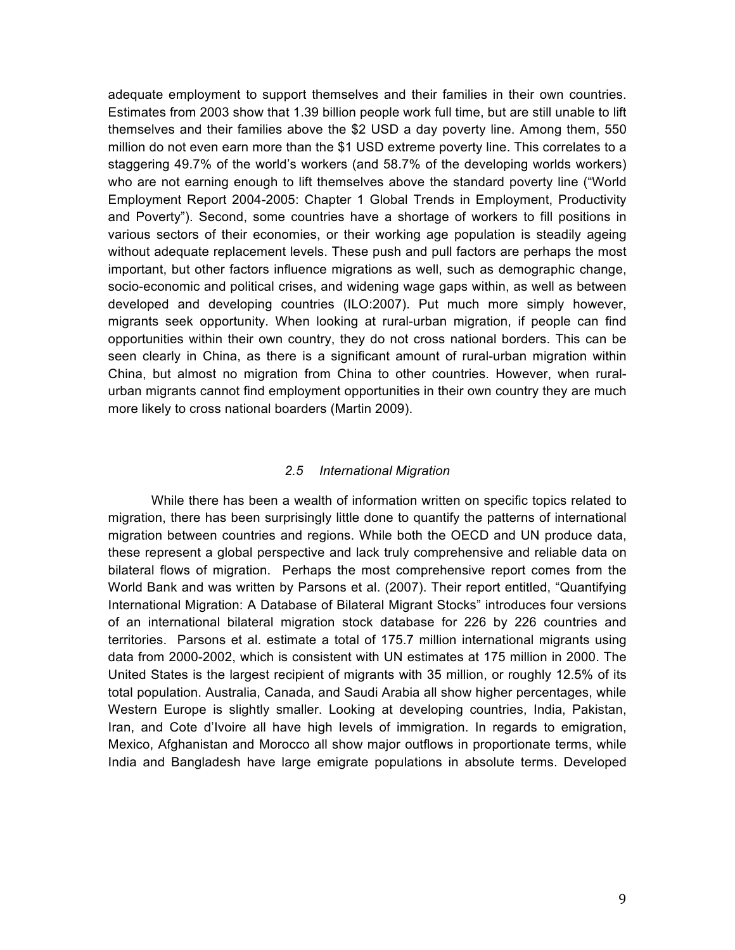adequate employment to support themselves and their families in their own countries. Estimates from 2003 show that 1.39 billion people work full time, but are still unable to lift themselves and their families above the \$2 USD a day poverty line. Among them, 550 million do not even earn more than the \$1 USD extreme poverty line. This correlates to a staggering 49.7% of the world's workers (and 58.7% of the developing worlds workers) who are not earning enough to lift themselves above the standard poverty line ("World Employment Report 2004-2005: Chapter 1 Global Trends in Employment, Productivity and Poverty"). Second, some countries have a shortage of workers to fill positions in various sectors of their economies, or their working age population is steadily ageing without adequate replacement levels. These push and pull factors are perhaps the most important, but other factors influence migrations as well, such as demographic change, socio-economic and political crises, and widening wage gaps within, as well as between developed and developing countries (ILO:2007). Put much more simply however, migrants seek opportunity. When looking at rural-urban migration, if people can find opportunities within their own country, they do not cross national borders. This can be seen clearly in China, as there is a significant amount of rural-urban migration within China, but almost no migration from China to other countries. However, when ruralurban migrants cannot find employment opportunities in their own country they are much more likely to cross national boarders (Martin 2009).

#### *2.5 International Migration*

While there has been a wealth of information written on specific topics related to migration, there has been surprisingly little done to quantify the patterns of international migration between countries and regions. While both the OECD and UN produce data, these represent a global perspective and lack truly comprehensive and reliable data on bilateral flows of migration. Perhaps the most comprehensive report comes from the World Bank and was written by Parsons et al. (2007). Their report entitled, "Quantifying International Migration: A Database of Bilateral Migrant Stocks" introduces four versions of an international bilateral migration stock database for 226 by 226 countries and territories. Parsons et al. estimate a total of 175.7 million international migrants using data from 2000-2002, which is consistent with UN estimates at 175 million in 2000. The United States is the largest recipient of migrants with 35 million, or roughly 12.5% of its total population. Australia, Canada, and Saudi Arabia all show higher percentages, while Western Europe is slightly smaller. Looking at developing countries, India, Pakistan, Iran, and Cote d'Ivoire all have high levels of immigration. In regards to emigration, Mexico, Afghanistan and Morocco all show major outflows in proportionate terms, while India and Bangladesh have large emigrate populations in absolute terms. Developed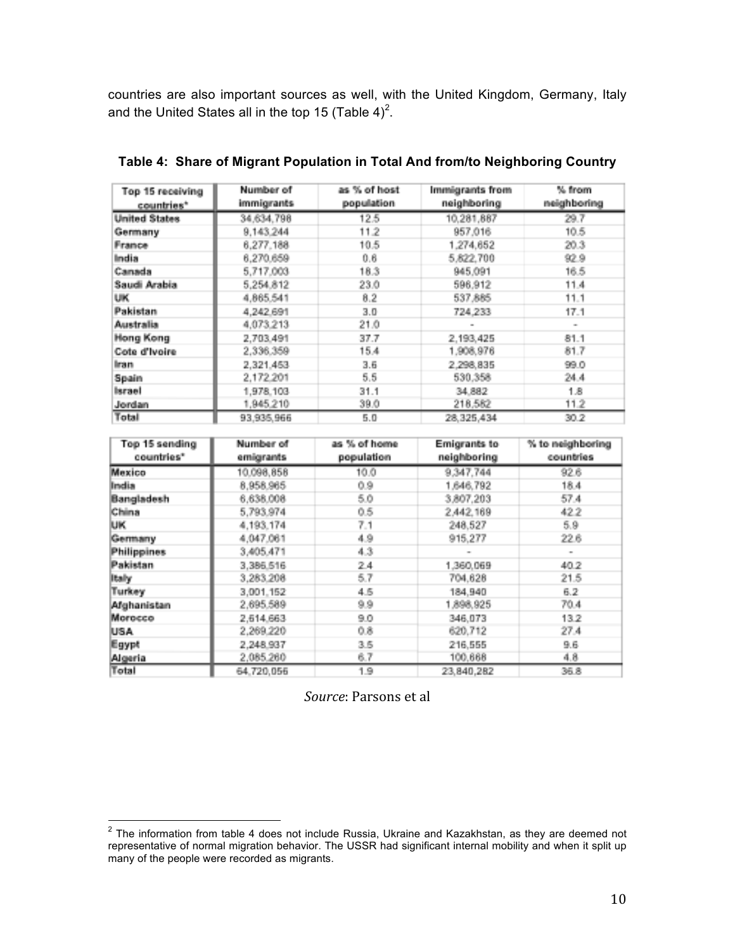countries are also important sources as well, with the United Kingdom, Germany, Italy and the United States all in the top 15 (Table 4)<sup>2</sup>.

| Top 15 receiving<br>countries* | as % of host<br>Immigrants from<br>Number of<br>population<br>immigrants<br>neighboring |      | % from<br>neighboring |      |
|--------------------------------|-----------------------------------------------------------------------------------------|------|-----------------------|------|
| <b>United States</b>           | 34,634,798                                                                              | 12.5 | 10,281,887            | 29.7 |
| Germany                        | 9.143.244                                                                               | 11.2 | 957,016               | 10.5 |
| France                         | 6,277,188                                                                               | 10.5 | 1,274,652             | 20.3 |
| India                          | 6,270,659                                                                               | 0.6  | 5,822,700             | 92.9 |
| Canada                         | 5,717,003                                                                               | 18.3 | 945,091               | 16.5 |
| Saudi Arabia                   | 5,254.812                                                                               | 23.0 | 596,912               | 11.4 |
| UK.                            | 4,865,541                                                                               | 8.2  | 537,885               | 11.1 |
| Pakistan                       | 4.242.691                                                                               | 3.0  | 724.233               | 17.1 |
| Australia                      | 4,073,213                                                                               | 21.0 |                       | ۰    |
| Hong Kong                      | 2.703.491                                                                               | 37.7 | 2.193.425             | 81.1 |
| Cote d'Ivoire                  | 2,336,359                                                                               | 15.4 | 1,908,976             | 81.7 |
| Iran                           | 2,321,453                                                                               | 3.6  | 2,298,835             | 99.0 |
| Spain                          | 2,172.201                                                                               | 5.5  | 530,358               | 24.4 |
| Israel                         | 1,978.103                                                                               | 31.1 | 34.882                | 1.8  |
| Jordan                         | 1,945,210                                                                               | 39.0 | 218,582               | 11.2 |
| Total                          | 93.935.966                                                                              | 5.0  | 28.325.434            | 30.2 |

**Table 4: Share of Migrant Population in Total And from/to Neighboring Country**

| Top 15 sending<br>countries* | Number of<br>as % of home<br><b>Emigrants to</b><br>population<br>neighboring<br>emigrants |      |            | % to neighboring<br>countries |
|------------------------------|--------------------------------------------------------------------------------------------|------|------------|-------------------------------|
| Mexico                       | 10.098,858                                                                                 | 10.0 | 9,347,744  | 92.6                          |
| India                        | 8,958,965                                                                                  | 0.9  | 1,646,792  | 18.4                          |
| Bangladesh                   | 6,638,008                                                                                  | 5.0  | 3,807,203  | 57.4                          |
| China                        | 5,793,974                                                                                  | 0.5  | 2,442,169  | 42.2                          |
| IJК                          | 4,193,174                                                                                  | 7.1  | 248,527    | 5.9                           |
| Germany                      | 4,047.061                                                                                  | 4.9  | 915,277    | 22.6                          |
| <b>Philippines</b>           | 3,405,471                                                                                  | 4.3  |            | ۰                             |
| Pakistan                     | 3,386.516                                                                                  | 24   | 1,360,069  | 40.2                          |
| Italy                        | 3,283,208                                                                                  | 5.7  | 704,628    | 21.5                          |
| Turkey                       | 3.001.152                                                                                  | 4.5  | 184,940    | 6.2                           |
| Afghanistan                  | 2,695.589                                                                                  | 9.9  | 1,898,925  | 70.4                          |
| Morocco                      | 2,614.663                                                                                  | 9.0  | 346,073    | 13.2                          |
| USA                          | 2,269,220                                                                                  | 0.8  | 620,712    | 27.4                          |
| Egypt                        | 2,248.937                                                                                  | 3.5  | 216,555    | 9.6                           |
| Algeria                      | 2,085.260                                                                                  | 6.7  | 100,668    | 4.8                           |
| Total                        | 64.720.056                                                                                 | 1.9  | 23.840.282 | 36.8                          |

*Source*: Parsons et al

<sup>&</sup>lt;sup>2</sup> The information from table 4 does not include Russia, Ukraine and Kazakhstan, as they are deemed not representative of normal migration behavior. The USSR had significant internal mobility and when it split up many of the people were recorded as migrants.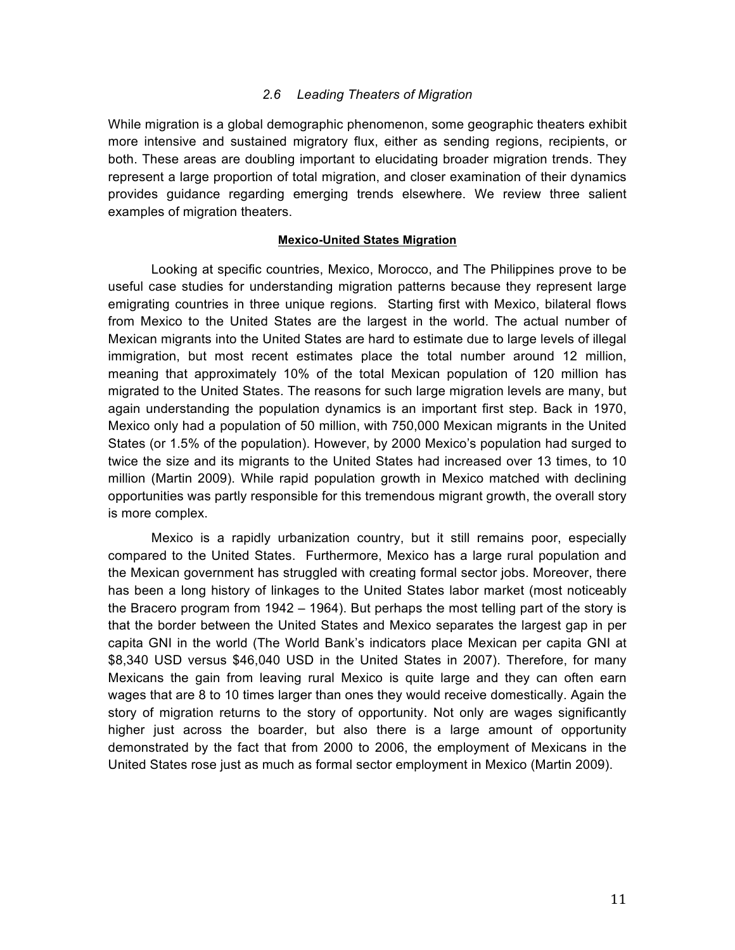#### *2.6 Leading Theaters of Migration*

While migration is a global demographic phenomenon, some geographic theaters exhibit more intensive and sustained migratory flux, either as sending regions, recipients, or both. These areas are doubling important to elucidating broader migration trends. They represent a large proportion of total migration, and closer examination of their dynamics provides guidance regarding emerging trends elsewhere. We review three salient examples of migration theaters.

#### **Mexico-United States Migration**

Looking at specific countries, Mexico, Morocco, and The Philippines prove to be useful case studies for understanding migration patterns because they represent large emigrating countries in three unique regions. Starting first with Mexico, bilateral flows from Mexico to the United States are the largest in the world. The actual number of Mexican migrants into the United States are hard to estimate due to large levels of illegal immigration, but most recent estimates place the total number around 12 million, meaning that approximately 10% of the total Mexican population of 120 million has migrated to the United States. The reasons for such large migration levels are many, but again understanding the population dynamics is an important first step. Back in 1970, Mexico only had a population of 50 million, with 750,000 Mexican migrants in the United States (or 1.5% of the population). However, by 2000 Mexico's population had surged to twice the size and its migrants to the United States had increased over 13 times, to 10 million (Martin 2009). While rapid population growth in Mexico matched with declining opportunities was partly responsible for this tremendous migrant growth, the overall story is more complex.

Mexico is a rapidly urbanization country, but it still remains poor, especially compared to the United States. Furthermore, Mexico has a large rural population and the Mexican government has struggled with creating formal sector jobs. Moreover, there has been a long history of linkages to the United States labor market (most noticeably the Bracero program from 1942 – 1964). But perhaps the most telling part of the story is that the border between the United States and Mexico separates the largest gap in per capita GNI in the world (The World Bank's indicators place Mexican per capita GNI at \$8,340 USD versus \$46,040 USD in the United States in 2007). Therefore, for many Mexicans the gain from leaving rural Mexico is quite large and they can often earn wages that are 8 to 10 times larger than ones they would receive domestically. Again the story of migration returns to the story of opportunity. Not only are wages significantly higher just across the boarder, but also there is a large amount of opportunity demonstrated by the fact that from 2000 to 2006, the employment of Mexicans in the United States rose just as much as formal sector employment in Mexico (Martin 2009).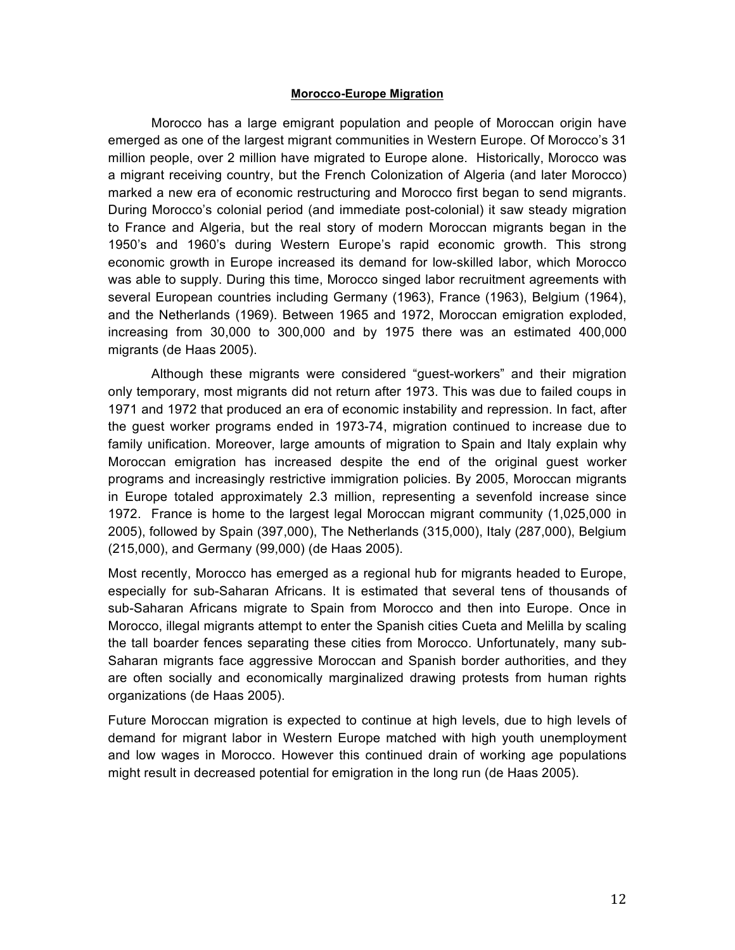#### **Morocco-Europe Migration**

Morocco has a large emigrant population and people of Moroccan origin have emerged as one of the largest migrant communities in Western Europe. Of Morocco's 31 million people, over 2 million have migrated to Europe alone. Historically, Morocco was a migrant receiving country, but the French Colonization of Algeria (and later Morocco) marked a new era of economic restructuring and Morocco first began to send migrants. During Morocco's colonial period (and immediate post-colonial) it saw steady migration to France and Algeria, but the real story of modern Moroccan migrants began in the 1950's and 1960's during Western Europe's rapid economic growth. This strong economic growth in Europe increased its demand for low-skilled labor, which Morocco was able to supply. During this time, Morocco singed labor recruitment agreements with several European countries including Germany (1963), France (1963), Belgium (1964), and the Netherlands (1969). Between 1965 and 1972, Moroccan emigration exploded, increasing from 30,000 to 300,000 and by 1975 there was an estimated 400,000 migrants (de Haas 2005).

Although these migrants were considered "guest-workers" and their migration only temporary, most migrants did not return after 1973. This was due to failed coups in 1971 and 1972 that produced an era of economic instability and repression. In fact, after the guest worker programs ended in 1973-74, migration continued to increase due to family unification. Moreover, large amounts of migration to Spain and Italy explain why Moroccan emigration has increased despite the end of the original guest worker programs and increasingly restrictive immigration policies. By 2005, Moroccan migrants in Europe totaled approximately 2.3 million, representing a sevenfold increase since 1972. France is home to the largest legal Moroccan migrant community (1,025,000 in 2005), followed by Spain (397,000), The Netherlands (315,000), Italy (287,000), Belgium (215,000), and Germany (99,000) (de Haas 2005).

Most recently, Morocco has emerged as a regional hub for migrants headed to Europe, especially for sub-Saharan Africans. It is estimated that several tens of thousands of sub-Saharan Africans migrate to Spain from Morocco and then into Europe. Once in Morocco, illegal migrants attempt to enter the Spanish cities Cueta and Melilla by scaling the tall boarder fences separating these cities from Morocco. Unfortunately, many sub-Saharan migrants face aggressive Moroccan and Spanish border authorities, and they are often socially and economically marginalized drawing protests from human rights organizations (de Haas 2005).

Future Moroccan migration is expected to continue at high levels, due to high levels of demand for migrant labor in Western Europe matched with high youth unemployment and low wages in Morocco. However this continued drain of working age populations might result in decreased potential for emigration in the long run (de Haas 2005).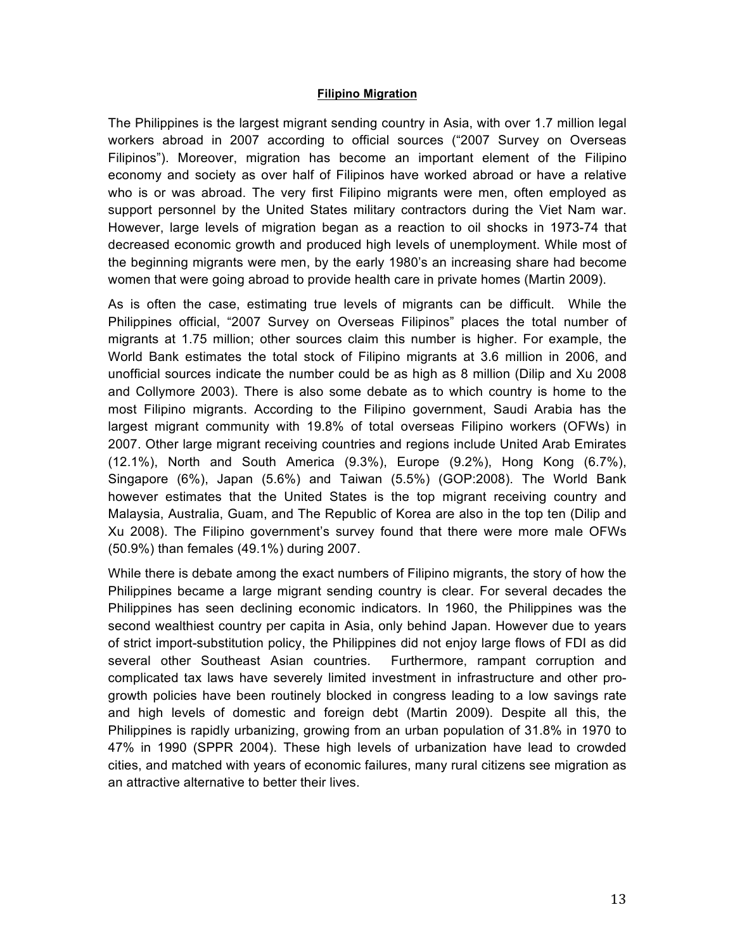#### **Filipino Migration**

The Philippines is the largest migrant sending country in Asia, with over 1.7 million legal workers abroad in 2007 according to official sources ("2007 Survey on Overseas Filipinos"). Moreover, migration has become an important element of the Filipino economy and society as over half of Filipinos have worked abroad or have a relative who is or was abroad. The very first Filipino migrants were men, often employed as support personnel by the United States military contractors during the Viet Nam war. However, large levels of migration began as a reaction to oil shocks in 1973-74 that decreased economic growth and produced high levels of unemployment. While most of the beginning migrants were men, by the early 1980's an increasing share had become women that were going abroad to provide health care in private homes (Martin 2009).

As is often the case, estimating true levels of migrants can be difficult. While the Philippines official, "2007 Survey on Overseas Filipinos" places the total number of migrants at 1.75 million; other sources claim this number is higher. For example, the World Bank estimates the total stock of Filipino migrants at 3.6 million in 2006, and unofficial sources indicate the number could be as high as 8 million (Dilip and Xu 2008 and Collymore 2003). There is also some debate as to which country is home to the most Filipino migrants. According to the Filipino government, Saudi Arabia has the largest migrant community with 19.8% of total overseas Filipino workers (OFWs) in 2007. Other large migrant receiving countries and regions include United Arab Emirates (12.1%), North and South America (9.3%), Europe (9.2%), Hong Kong (6.7%), Singapore (6%), Japan (5.6%) and Taiwan (5.5%) (GOP:2008). The World Bank however estimates that the United States is the top migrant receiving country and Malaysia, Australia, Guam, and The Republic of Korea are also in the top ten (Dilip and Xu 2008). The Filipino government's survey found that there were more male OFWs (50.9%) than females (49.1%) during 2007.

While there is debate among the exact numbers of Filipino migrants, the story of how the Philippines became a large migrant sending country is clear. For several decades the Philippines has seen declining economic indicators. In 1960, the Philippines was the second wealthiest country per capita in Asia, only behind Japan. However due to years of strict import-substitution policy, the Philippines did not enjoy large flows of FDI as did several other Southeast Asian countries. Furthermore, rampant corruption and complicated tax laws have severely limited investment in infrastructure and other progrowth policies have been routinely blocked in congress leading to a low savings rate and high levels of domestic and foreign debt (Martin 2009). Despite all this, the Philippines is rapidly urbanizing, growing from an urban population of 31.8% in 1970 to 47% in 1990 (SPPR 2004). These high levels of urbanization have lead to crowded cities, and matched with years of economic failures, many rural citizens see migration as an attractive alternative to better their lives.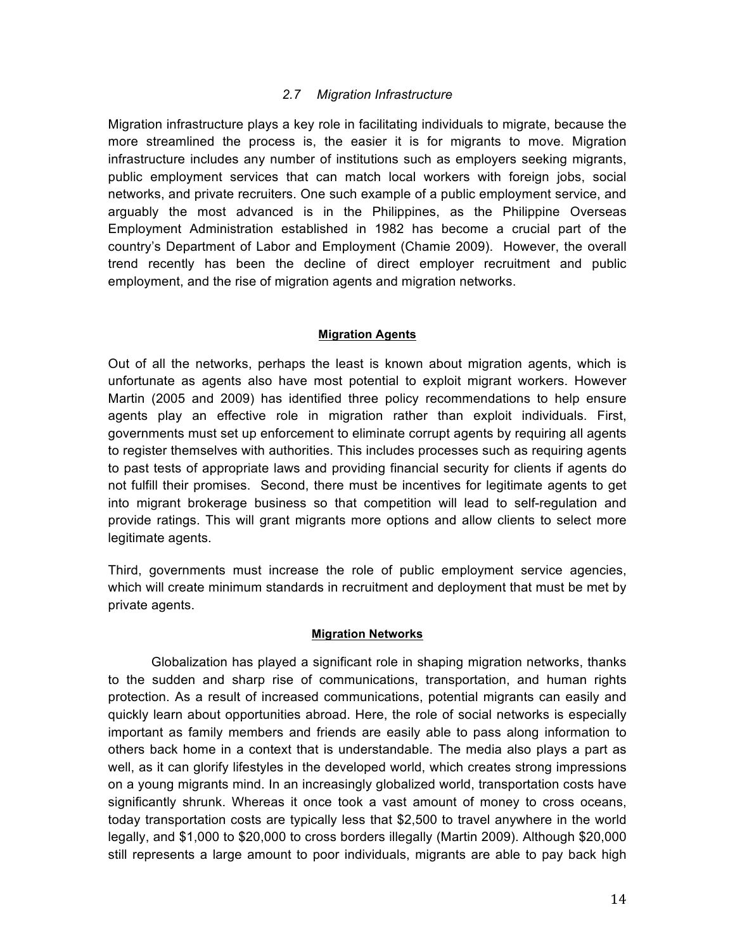### *2.7 Migration Infrastructure*

Migration infrastructure plays a key role in facilitating individuals to migrate, because the more streamlined the process is, the easier it is for migrants to move. Migration infrastructure includes any number of institutions such as employers seeking migrants, public employment services that can match local workers with foreign jobs, social networks, and private recruiters. One such example of a public employment service, and arguably the most advanced is in the Philippines, as the Philippine Overseas Employment Administration established in 1982 has become a crucial part of the country's Department of Labor and Employment (Chamie 2009). However, the overall trend recently has been the decline of direct employer recruitment and public employment, and the rise of migration agents and migration networks.

### **Migration Agents**

Out of all the networks, perhaps the least is known about migration agents, which is unfortunate as agents also have most potential to exploit migrant workers. However Martin (2005 and 2009) has identified three policy recommendations to help ensure agents play an effective role in migration rather than exploit individuals. First, governments must set up enforcement to eliminate corrupt agents by requiring all agents to register themselves with authorities. This includes processes such as requiring agents to past tests of appropriate laws and providing financial security for clients if agents do not fulfill their promises. Second, there must be incentives for legitimate agents to get into migrant brokerage business so that competition will lead to self-regulation and provide ratings. This will grant migrants more options and allow clients to select more legitimate agents.

Third, governments must increase the role of public employment service agencies, which will create minimum standards in recruitment and deployment that must be met by private agents.

#### **Migration Networks**

Globalization has played a significant role in shaping migration networks, thanks to the sudden and sharp rise of communications, transportation, and human rights protection. As a result of increased communications, potential migrants can easily and quickly learn about opportunities abroad. Here, the role of social networks is especially important as family members and friends are easily able to pass along information to others back home in a context that is understandable. The media also plays a part as well, as it can glorify lifestyles in the developed world, which creates strong impressions on a young migrants mind. In an increasingly globalized world, transportation costs have significantly shrunk. Whereas it once took a vast amount of money to cross oceans, today transportation costs are typically less that \$2,500 to travel anywhere in the world legally, and \$1,000 to \$20,000 to cross borders illegally (Martin 2009). Although \$20,000 still represents a large amount to poor individuals, migrants are able to pay back high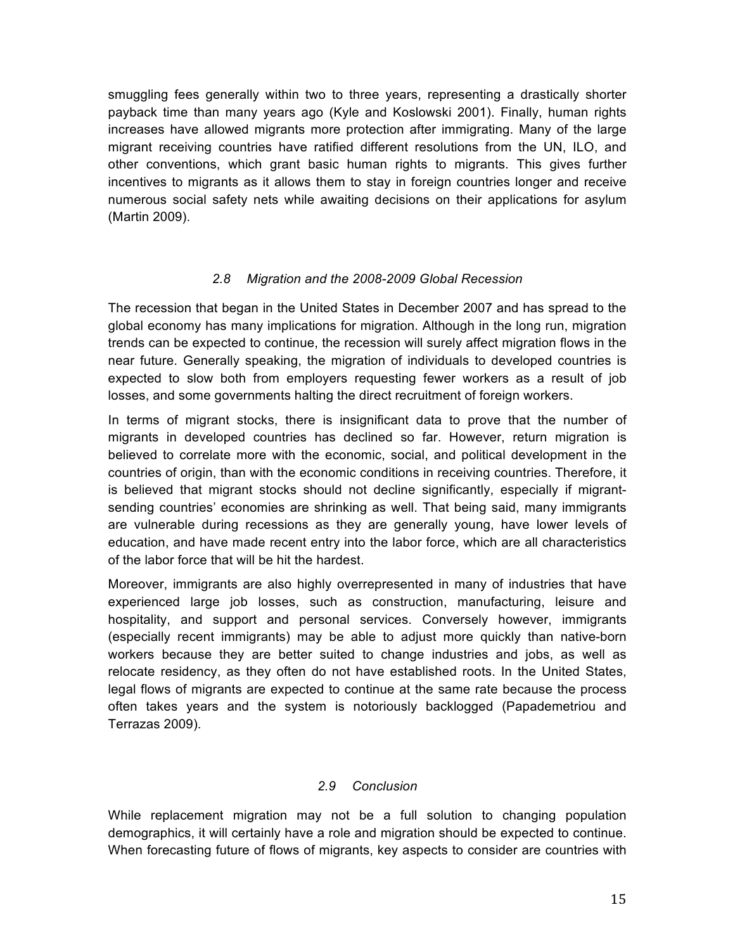smuggling fees generally within two to three years, representing a drastically shorter payback time than many years ago (Kyle and Koslowski 2001). Finally, human rights increases have allowed migrants more protection after immigrating. Many of the large migrant receiving countries have ratified different resolutions from the UN, ILO, and other conventions, which grant basic human rights to migrants. This gives further incentives to migrants as it allows them to stay in foreign countries longer and receive numerous social safety nets while awaiting decisions on their applications for asylum (Martin 2009).

## *2.8 Migration and the 2008-2009 Global Recession*

The recession that began in the United States in December 2007 and has spread to the global economy has many implications for migration. Although in the long run, migration trends can be expected to continue, the recession will surely affect migration flows in the near future. Generally speaking, the migration of individuals to developed countries is expected to slow both from employers requesting fewer workers as a result of job losses, and some governments halting the direct recruitment of foreign workers.

In terms of migrant stocks, there is insignificant data to prove that the number of migrants in developed countries has declined so far. However, return migration is believed to correlate more with the economic, social, and political development in the countries of origin, than with the economic conditions in receiving countries. Therefore, it is believed that migrant stocks should not decline significantly, especially if migrantsending countries' economies are shrinking as well. That being said, many immigrants are vulnerable during recessions as they are generally young, have lower levels of education, and have made recent entry into the labor force, which are all characteristics of the labor force that will be hit the hardest.

Moreover, immigrants are also highly overrepresented in many of industries that have experienced large job losses, such as construction, manufacturing, leisure and hospitality, and support and personal services. Conversely however, immigrants (especially recent immigrants) may be able to adjust more quickly than native-born workers because they are better suited to change industries and jobs, as well as relocate residency, as they often do not have established roots. In the United States, legal flows of migrants are expected to continue at the same rate because the process often takes years and the system is notoriously backlogged (Papademetriou and Terrazas 2009).

## *2.9 Conclusion*

While replacement migration may not be a full solution to changing population demographics, it will certainly have a role and migration should be expected to continue. When forecasting future of flows of migrants, key aspects to consider are countries with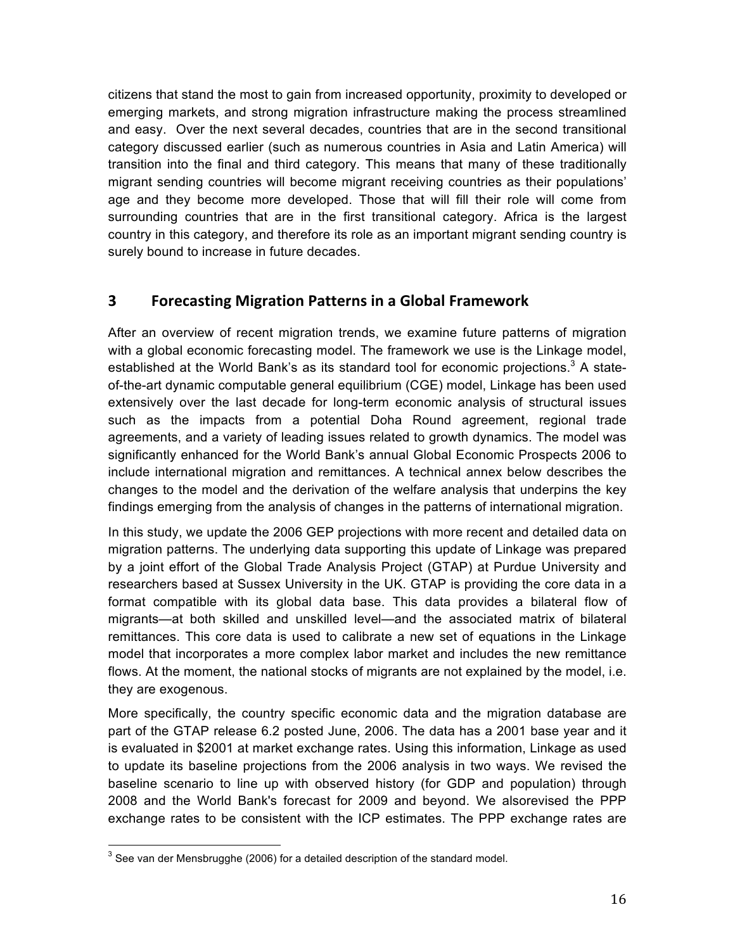citizens that stand the most to gain from increased opportunity, proximity to developed or emerging markets, and strong migration infrastructure making the process streamlined and easy. Over the next several decades, countries that are in the second transitional category discussed earlier (such as numerous countries in Asia and Latin America) will transition into the final and third category. This means that many of these traditionally migrant sending countries will become migrant receiving countries as their populations' age and they become more developed. Those that will fill their role will come from surrounding countries that are in the first transitional category. Africa is the largest country in this category, and therefore its role as an important migrant sending country is surely bound to increase in future decades.

# **3 Forecasting Migration Patterns in a Global Framework**

After an overview of recent migration trends, we examine future patterns of migration with a global economic forecasting model. The framework we use is the Linkage model, established at the World Bank's as its standard tool for economic projections.<sup>3</sup> A stateof-the-art dynamic computable general equilibrium (CGE) model, Linkage has been used extensively over the last decade for long-term economic analysis of structural issues such as the impacts from a potential Doha Round agreement, regional trade agreements, and a variety of leading issues related to growth dynamics. The model was significantly enhanced for the World Bank's annual Global Economic Prospects 2006 to include international migration and remittances. A technical annex below describes the changes to the model and the derivation of the welfare analysis that underpins the key findings emerging from the analysis of changes in the patterns of international migration.

In this study, we update the 2006 GEP projections with more recent and detailed data on migration patterns. The underlying data supporting this update of Linkage was prepared by a joint effort of the Global Trade Analysis Project (GTAP) at Purdue University and researchers based at Sussex University in the UK. GTAP is providing the core data in a format compatible with its global data base. This data provides a bilateral flow of migrants—at both skilled and unskilled level—and the associated matrix of bilateral remittances. This core data is used to calibrate a new set of equations in the Linkage model that incorporates a more complex labor market and includes the new remittance flows. At the moment, the national stocks of migrants are not explained by the model, i.e. they are exogenous.

More specifically, the country specific economic data and the migration database are part of the GTAP release 6.2 posted June, 2006. The data has a 2001 base year and it is evaluated in \$2001 at market exchange rates. Using this information, Linkage as used to update its baseline projections from the 2006 analysis in two ways. We revised the baseline scenario to line up with observed history (for GDP and population) through 2008 and the World Bank's forecast for 2009 and beyond. We alsorevised the PPP exchange rates to be consistent with the ICP estimates. The PPP exchange rates are

 $3$  See van der Mensbrugghe (2006) for a detailed description of the standard model.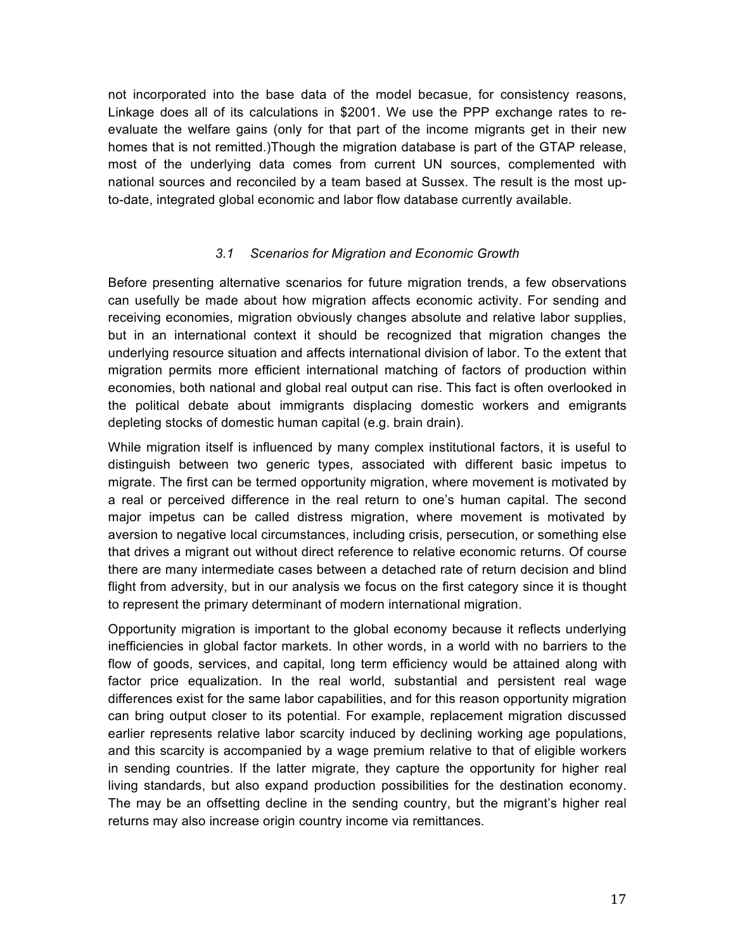not incorporated into the base data of the model becasue, for consistency reasons, Linkage does all of its calculations in \$2001. We use the PPP exchange rates to reevaluate the welfare gains (only for that part of the income migrants get in their new homes that is not remitted.)Though the migration database is part of the GTAP release, most of the underlying data comes from current UN sources, complemented with national sources and reconciled by a team based at Sussex. The result is the most upto-date, integrated global economic and labor flow database currently available.

## *3.1 Scenarios for Migration and Economic Growth*

Before presenting alternative scenarios for future migration trends, a few observations can usefully be made about how migration affects economic activity. For sending and receiving economies, migration obviously changes absolute and relative labor supplies, but in an international context it should be recognized that migration changes the underlying resource situation and affects international division of labor. To the extent that migration permits more efficient international matching of factors of production within economies, both national and global real output can rise. This fact is often overlooked in the political debate about immigrants displacing domestic workers and emigrants depleting stocks of domestic human capital (e.g. brain drain).

While migration itself is influenced by many complex institutional factors, it is useful to distinguish between two generic types, associated with different basic impetus to migrate. The first can be termed opportunity migration, where movement is motivated by a real or perceived difference in the real return to one's human capital. The second major impetus can be called distress migration, where movement is motivated by aversion to negative local circumstances, including crisis, persecution, or something else that drives a migrant out without direct reference to relative economic returns. Of course there are many intermediate cases between a detached rate of return decision and blind flight from adversity, but in our analysis we focus on the first category since it is thought to represent the primary determinant of modern international migration.

Opportunity migration is important to the global economy because it reflects underlying inefficiencies in global factor markets. In other words, in a world with no barriers to the flow of goods, services, and capital, long term efficiency would be attained along with factor price equalization. In the real world, substantial and persistent real wage differences exist for the same labor capabilities, and for this reason opportunity migration can bring output closer to its potential. For example, replacement migration discussed earlier represents relative labor scarcity induced by declining working age populations, and this scarcity is accompanied by a wage premium relative to that of eligible workers in sending countries. If the latter migrate, they capture the opportunity for higher real living standards, but also expand production possibilities for the destination economy. The may be an offsetting decline in the sending country, but the migrant's higher real returns may also increase origin country income via remittances.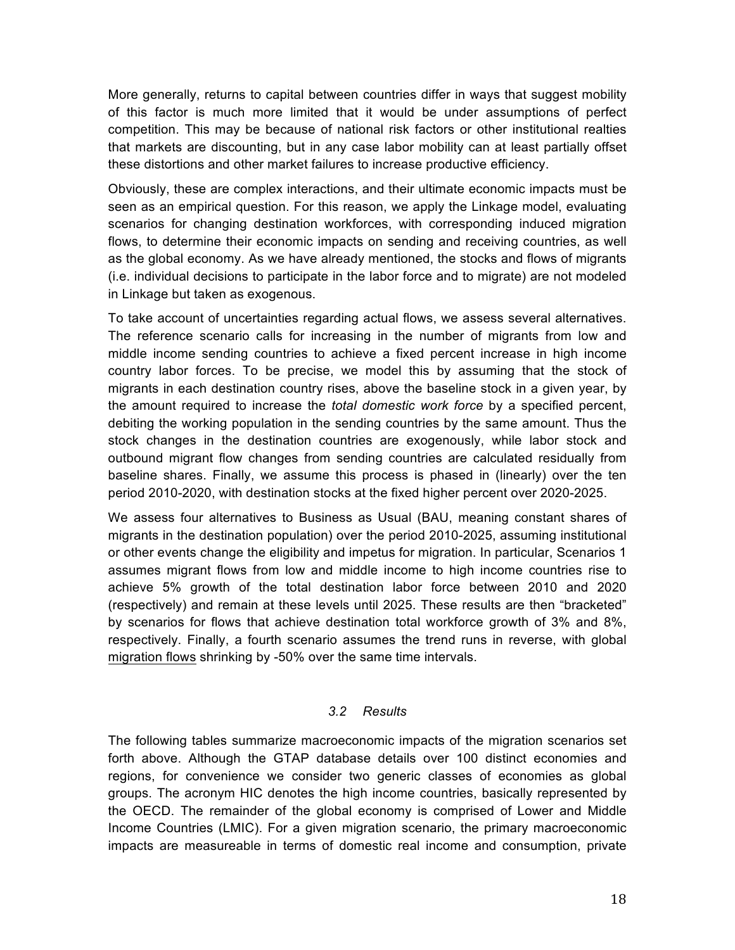More generally, returns to capital between countries differ in ways that suggest mobility of this factor is much more limited that it would be under assumptions of perfect competition. This may be because of national risk factors or other institutional realties that markets are discounting, but in any case labor mobility can at least partially offset these distortions and other market failures to increase productive efficiency.

Obviously, these are complex interactions, and their ultimate economic impacts must be seen as an empirical question. For this reason, we apply the Linkage model, evaluating scenarios for changing destination workforces, with corresponding induced migration flows, to determine their economic impacts on sending and receiving countries, as well as the global economy. As we have already mentioned, the stocks and flows of migrants (i.e. individual decisions to participate in the labor force and to migrate) are not modeled in Linkage but taken as exogenous.

To take account of uncertainties regarding actual flows, we assess several alternatives. The reference scenario calls for increasing in the number of migrants from low and middle income sending countries to achieve a fixed percent increase in high income country labor forces. To be precise, we model this by assuming that the stock of migrants in each destination country rises, above the baseline stock in a given year, by the amount required to increase the *total domestic work force* by a specified percent, debiting the working population in the sending countries by the same amount. Thus the stock changes in the destination countries are exogenously, while labor stock and outbound migrant flow changes from sending countries are calculated residually from baseline shares. Finally, we assume this process is phased in (linearly) over the ten period 2010-2020, with destination stocks at the fixed higher percent over 2020-2025.

We assess four alternatives to Business as Usual (BAU, meaning constant shares of migrants in the destination population) over the period 2010-2025, assuming institutional or other events change the eligibility and impetus for migration. In particular, Scenarios 1 assumes migrant flows from low and middle income to high income countries rise to achieve 5% growth of the total destination labor force between 2010 and 2020 (respectively) and remain at these levels until 2025. These results are then "bracketed" by scenarios for flows that achieve destination total workforce growth of 3% and 8%, respectively. Finally, a fourth scenario assumes the trend runs in reverse, with global migration flows shrinking by -50% over the same time intervals.

## *3.2 Results*

The following tables summarize macroeconomic impacts of the migration scenarios set forth above. Although the GTAP database details over 100 distinct economies and regions, for convenience we consider two generic classes of economies as global groups. The acronym HIC denotes the high income countries, basically represented by the OECD. The remainder of the global economy is comprised of Lower and Middle Income Countries (LMIC). For a given migration scenario, the primary macroeconomic impacts are measureable in terms of domestic real income and consumption, private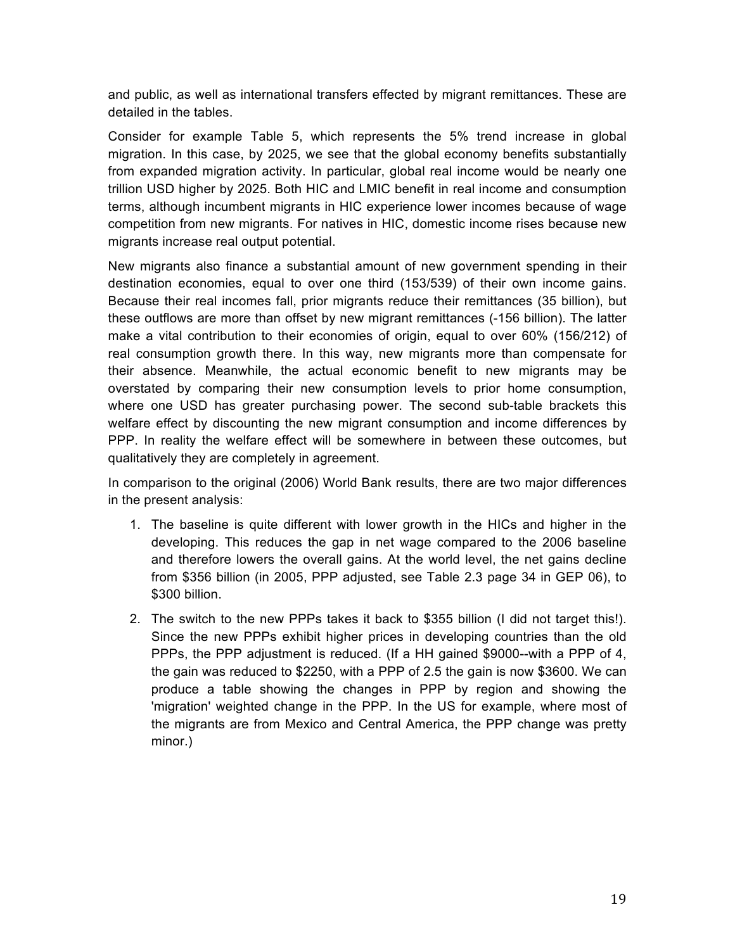and public, as well as international transfers effected by migrant remittances. These are detailed in the tables.

Consider for example Table 5, which represents the 5% trend increase in global migration. In this case, by 2025, we see that the global economy benefits substantially from expanded migration activity. In particular, global real income would be nearly one trillion USD higher by 2025. Both HIC and LMIC benefit in real income and consumption terms, although incumbent migrants in HIC experience lower incomes because of wage competition from new migrants. For natives in HIC, domestic income rises because new migrants increase real output potential.

New migrants also finance a substantial amount of new government spending in their destination economies, equal to over one third (153/539) of their own income gains. Because their real incomes fall, prior migrants reduce their remittances (35 billion), but these outflows are more than offset by new migrant remittances (-156 billion). The latter make a vital contribution to their economies of origin, equal to over 60% (156/212) of real consumption growth there. In this way, new migrants more than compensate for their absence. Meanwhile, the actual economic benefit to new migrants may be overstated by comparing their new consumption levels to prior home consumption, where one USD has greater purchasing power. The second sub-table brackets this welfare effect by discounting the new migrant consumption and income differences by PPP. In reality the welfare effect will be somewhere in between these outcomes, but qualitatively they are completely in agreement.

In comparison to the original (2006) World Bank results, there are two major differences in the present analysis:

- 1. The baseline is quite different with lower growth in the HICs and higher in the developing. This reduces the gap in net wage compared to the 2006 baseline and therefore lowers the overall gains. At the world level, the net gains decline from \$356 billion (in 2005, PPP adjusted, see Table 2.3 page 34 in GEP 06), to \$300 billion.
- 2. The switch to the new PPPs takes it back to \$355 billion (I did not target this!). Since the new PPPs exhibit higher prices in developing countries than the old PPPs, the PPP adjustment is reduced. (If a HH gained \$9000--with a PPP of 4, the gain was reduced to \$2250, with a PPP of 2.5 the gain is now \$3600. We can produce a table showing the changes in PPP by region and showing the 'migration' weighted change in the PPP. In the US for example, where most of the migrants are from Mexico and Central America, the PPP change was pretty minor.)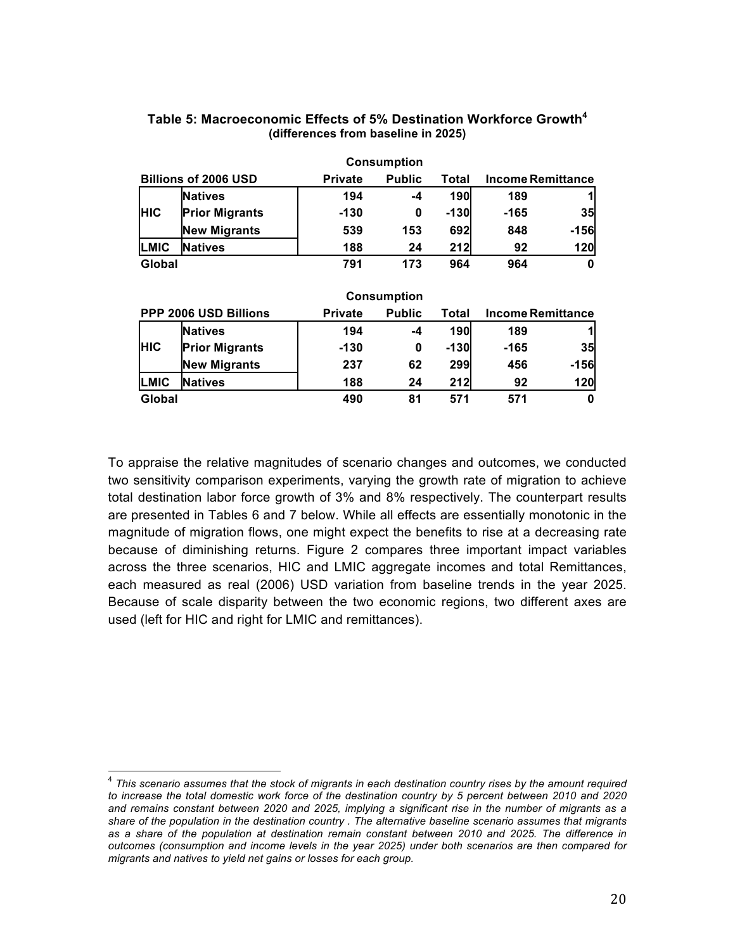|             |                             |                | <b>Consumption</b> |        |          |                          |
|-------------|-----------------------------|----------------|--------------------|--------|----------|--------------------------|
|             | <b>Billions of 2006 USD</b> | <b>Private</b> | <b>Public</b>      | Total  |          | <b>Income Remittance</b> |
|             | <b>Natives</b>              | 194            | $-4$               | 190    | 189      |                          |
| <b>HIC</b>  | <b>Prior Migrants</b>       | $-130$         | 0                  | $-130$ | -165     | 35                       |
|             | <b>New Migrants</b>         | 539            | 153                | 692    | 848      | $-156$                   |
| <b>LMIC</b> | <b>Natives</b>              | 188            | 24                 | 212    | 92       | 120                      |
| Global      |                             | 791            | 173                | 964    | 964      | 0                        |
|             |                             |                | <b>Consumption</b> |        |          |                          |
|             | PPP 2006 USD Billions       | <b>Private</b> | <b>Public</b>      | Total  |          | <b>Income Remittance</b> |
|             | <b>Natives</b>              | 194            | -4                 | 190    | 189      |                          |
| <b>HIC</b>  | <b>Prior Migrants</b>       | $-130$         | 0                  | $-130$ | -165     | 35                       |
|             | <b>New Migrants</b>         | 237            | 62                 | 299    | 456      | $-156$                   |
| LMIC        | <b>Natives</b>              | 188            | 24                 | 212    | 92       | 120                      |
| Global      |                             | 490            | 81                 | 571    | 571<br>0 |                          |

### **Table 5: Macroeconomic Effects of 5% Destination Workforce Growth<sup>4</sup> (differences from baseline in 2025)**

To appraise the relative magnitudes of scenario changes and outcomes, we conducted two sensitivity comparison experiments, varying the growth rate of migration to achieve total destination labor force growth of 3% and 8% respectively. The counterpart results are presented in Tables 6 and 7 below. While all effects are essentially monotonic in the magnitude of migration flows, one might expect the benefits to rise at a decreasing rate because of diminishing returns. Figure 2 compares three important impact variables across the three scenarios, HIC and LMIC aggregate incomes and total Remittances, each measured as real (2006) USD variation from baseline trends in the year 2025. Because of scale disparity between the two economic regions, two different axes are used (left for HIC and right for LMIC and remittances).

 <sup>4</sup> *This scenario assumes that the stock of migrants in each destination country rises by the amount required to increase the total domestic work force of the destination country by 5 percent between 2010 and 2020 and remains constant between 2020 and 2025, implying a significant rise in the number of migrants as a share of the population in the destination country . The alternative baseline scenario assumes that migrants as a share of the population at destination remain constant between 2010 and 2025. The difference in outcomes (consumption and income levels in the year 2025) under both scenarios are then compared for migrants and natives to yield net gains or losses for each group.*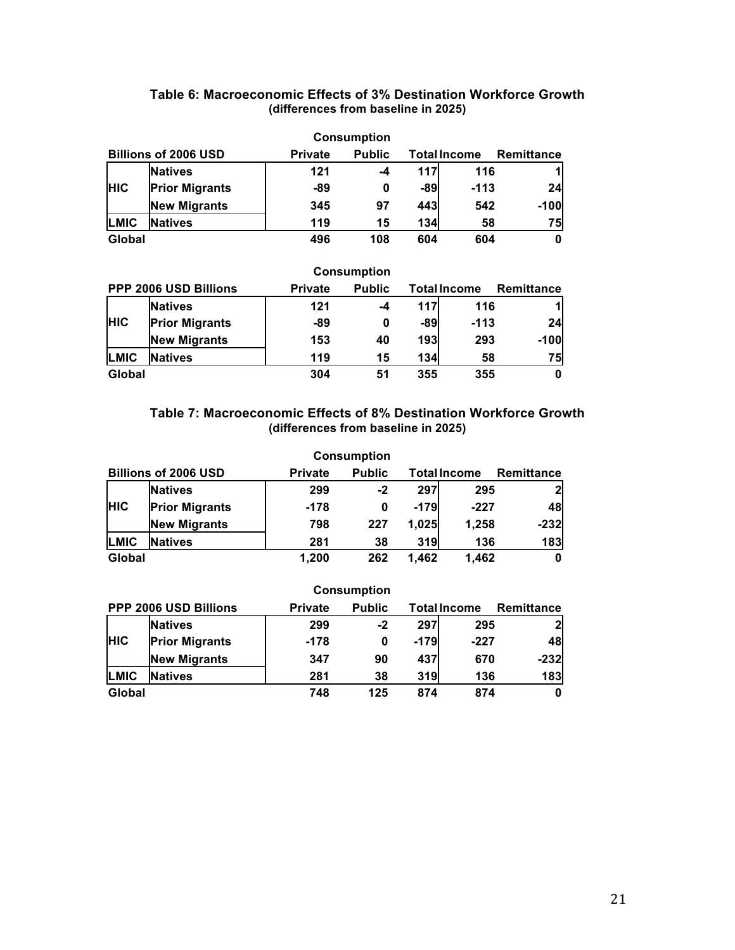# **Table 6: Macroeconomic Effects of 3% Destination Workforce Growth (differences from baseline in 2025)**

|            |                             |                | <b>Consumption</b> |                     |        |                   |
|------------|-----------------------------|----------------|--------------------|---------------------|--------|-------------------|
|            | <b>Billions of 2006 USD</b> | <b>Private</b> | <b>Public</b>      | <b>Total Income</b> |        | <b>Remittance</b> |
|            | <b>Natives</b>              | 121            | -4                 | <b>117</b>          | 116    | $\mathbf{1}$      |
| <b>HIC</b> | <b>Prior Migrants</b>       | -89            | 0                  | -89                 | $-113$ | 24                |
|            | <b>New Migrants</b>         | 345            | 97                 | 443                 | 542    | $-100$            |
| LMIC       | Natives                     | 119            | 15                 | <b>134</b>          | 58     | 75                |
| Global     |                             | 496            | 108                | 604                 | 604    | 0                 |

|                       |                       |                | <b>Consumption</b> |                     |        |                   |
|-----------------------|-----------------------|----------------|--------------------|---------------------|--------|-------------------|
| PPP 2006 USD Billions |                       | <b>Private</b> | <b>Public</b>      | <b>Total Income</b> |        | <b>Remittance</b> |
|                       | <b>Natives</b>        | 121            | -4                 | 117                 | 116    | 1                 |
| <b>HIC</b>            | <b>Prior Migrants</b> | -89            | 0                  | -89                 | $-113$ | 24                |
|                       | <b>New Migrants</b>   | 153            | 40                 | <b>193</b>          | 293    | $-100$            |
| LMIC                  | <b>Natives</b>        | 119            | 15                 | <b>134</b>          | 58     | 75                |
| Global                |                       | 304            | 51                 | 355                 | 355    | 0                 |

## **Table 7: Macroeconomic Effects of 8% Destination Workforce Growth (differences from baseline in 2025)**

|                             |                       |                | <b>Consumption</b> |                     |        |                   |
|-----------------------------|-----------------------|----------------|--------------------|---------------------|--------|-------------------|
| <b>Billions of 2006 USD</b> |                       | <b>Private</b> | <b>Public</b>      | <b>Total Income</b> |        | <b>Remittance</b> |
|                             | <b>Natives</b>        | 299            | -2                 | 297                 | 295    | $\mathbf{2}$      |
| <b>HIC</b>                  | <b>Prior Migrants</b> | $-178$         | 0                  | $-179$              | $-227$ | 48                |
|                             | <b>New Migrants</b>   | 798            | 227                | 1,025               | 1,258  | $-232$            |
| LMIC                        | <b>Natives</b>        | 281            | 38                 | 319                 | 136    | 183               |
| Global                      |                       | 1.200          | 262                | 1.462               | 1.462  | 0                 |

|               |                              |                | <b>Consumption</b> |                     |        |              |
|---------------|------------------------------|----------------|--------------------|---------------------|--------|--------------|
|               | <b>PPP 2006 USD Billions</b> | <b>Private</b> | <b>Public</b>      | <b>Total Income</b> |        | Remittance   |
|               | <b>Natives</b>               | 299            | $-2$               | 297                 | 295    | $\mathbf{2}$ |
| <b>HIC</b>    | <b>Prior Migrants</b>        | $-178$         | 0                  | $-179$              | $-227$ | 48           |
|               | <b>New Migrants</b>          | 347            | 90                 | 437                 | 670    | $-232$       |
| LMIC          | <b>Natives</b>               | 281            | 38                 | 319                 | 136    | 183          |
| <b>Global</b> |                              | 748            | 125                | 874                 | 874    | $\mathbf 0$  |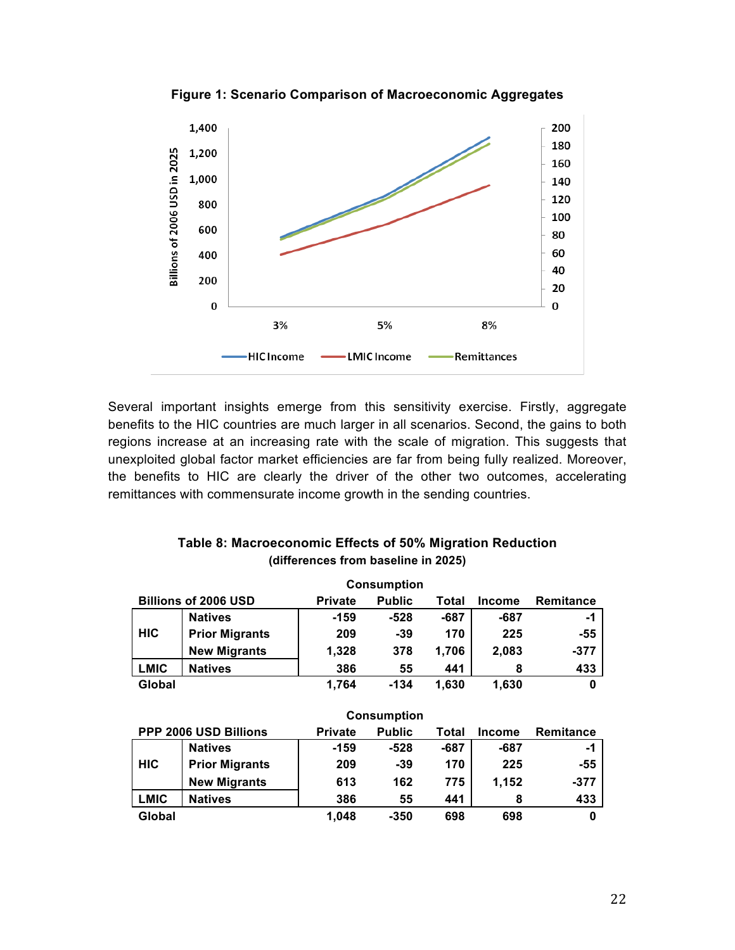

**Figure 1: Scenario Comparison of Macroeconomic Aggregates**

Several important insights emerge from this sensitivity exercise. Firstly, aggregate benefits to the HIC countries are much larger in all scenarios. Second, the gains to both regions increase at an increasing rate with the scale of migration. This suggests that unexploited global factor market efficiencies are far from being fully realized. Moreover, the benefits to HIC are clearly the driver of the other two outcomes, accelerating remittances with commensurate income growth in the sending countries.

| <b>Consumption</b> |                             |                |               |       |               |                  |  |  |  |
|--------------------|-----------------------------|----------------|---------------|-------|---------------|------------------|--|--|--|
|                    | <b>Billions of 2006 USD</b> | <b>Private</b> | <b>Public</b> | Total | <b>Income</b> | <b>Remitance</b> |  |  |  |
|                    | <b>Natives</b>              | $-159$         | $-528$        | -687  | -687          | -1               |  |  |  |
| <b>HIC</b>         | <b>Prior Migrants</b>       | 209            | $-39$         | 170   | 225           | $-55$            |  |  |  |
|                    | <b>New Migrants</b>         | 1,328          | 378           | 1,706 | 2,083         | $-377$           |  |  |  |
| <b>LMIC</b>        | <b>Natives</b>              | 386            | 55            | 441   | 8             | 433              |  |  |  |
| Global             |                             | 1,764          | $-134$        | 1,630 | 1,630         | 0                |  |  |  |
|                    |                             |                |               |       |               |                  |  |  |  |
| <b>Consumption</b> |                             |                |               |       |               |                  |  |  |  |
|                    |                             |                |               |       |               |                  |  |  |  |
|                    | PPP 2006 USD Billions       | <b>Private</b> | <b>Public</b> | Total | <b>Income</b> | <b>Remitance</b> |  |  |  |
|                    | <b>Natives</b>              | $-159$         | $-528$        | -687  | -687          | -1               |  |  |  |
| <b>HIC</b>         | <b>Prior Migrants</b>       | 209            | $-39$         | 170   | 225           | $-55$            |  |  |  |
|                    | <b>New Migrants</b>         | 613            | 162           | 775   | 1,152         | $-377$           |  |  |  |
| <b>LMIC</b>        | <b>Natives</b>              | 386            | 55            | 441   | 8             | 433              |  |  |  |

## **Table 8: Macroeconomic Effects of 50% Migration Reduction (differences from baseline in 2025)**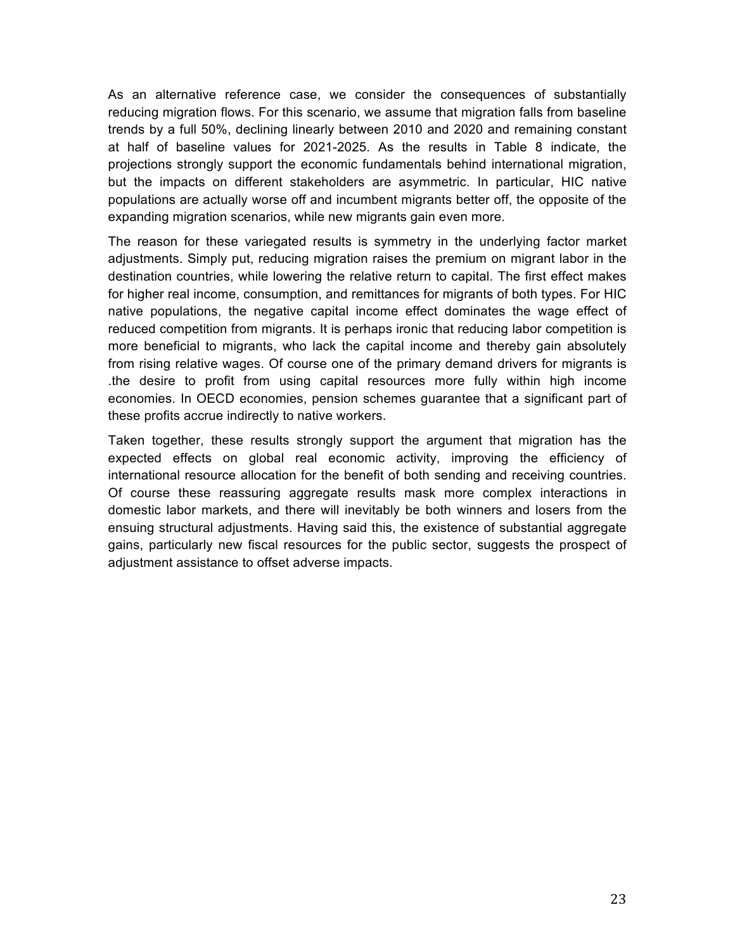As an alternative reference case, we consider the consequences of substantially reducing migration flows. For this scenario, we assume that migration falls from baseline trends by a full 50%, declining linearly between 2010 and 2020 and remaining constant at half of baseline values for 2021-2025. As the results in Table 8 indicate, the projections strongly support the economic fundamentals behind international migration, but the impacts on different stakeholders are asymmetric. In particular, HIC native populations are actually worse off and incumbent migrants better off, the opposite of the expanding migration scenarios, while new migrants gain even more.

The reason for these variegated results is symmetry in the underlying factor market adjustments. Simply put, reducing migration raises the premium on migrant labor in the destination countries, while lowering the relative return to capital. The first effect makes for higher real income, consumption, and remittances for migrants of both types. For HIC native populations, the negative capital income effect dominates the wage effect of reduced competition from migrants. It is perhaps ironic that reducing labor competition is more beneficial to migrants, who lack the capital income and thereby gain absolutely from rising relative wages. Of course one of the primary demand drivers for migrants is .the desire to profit from using capital resources more fully within high income economies. In OECD economies, pension schemes guarantee that a significant part of these profits accrue indirectly to native workers.

Taken together, these results strongly support the argument that migration has the expected effects on global real economic activity, improving the efficiency of international resource allocation for the benefit of both sending and receiving countries. Of course these reassuring aggregate results mask more complex interactions in domestic labor markets, and there will inevitably be both winners and losers from the ensuing structural adjustments. Having said this, the existence of substantial aggregate gains, particularly new fiscal resources for the public sector, suggests the prospect of adjustment assistance to offset adverse impacts.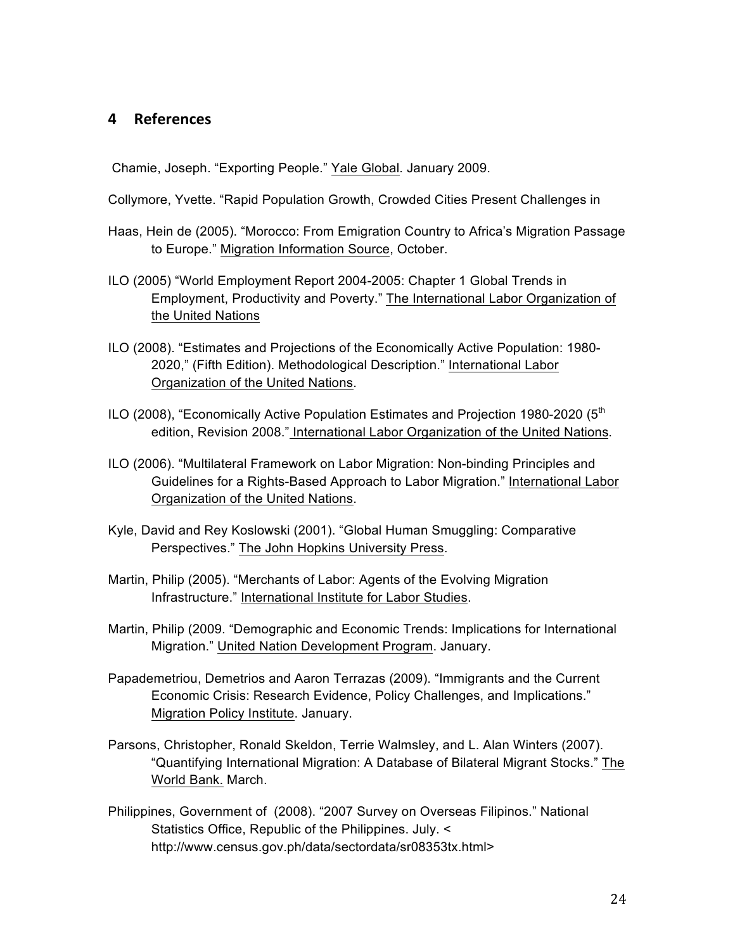# **4 References**

Chamie, Joseph. "Exporting People." Yale Global. January 2009.

Collymore, Yvette. "Rapid Population Growth, Crowded Cities Present Challenges in

- Haas, Hein de (2005). "Morocco: From Emigration Country to Africa's Migration Passage to Europe." Migration Information Source, October.
- ILO (2005) "World Employment Report 2004-2005: Chapter 1 Global Trends in Employment, Productivity and Poverty." The International Labor Organization of the United Nations
- ILO (2008). "Estimates and Projections of the Economically Active Population: 1980- 2020," (Fifth Edition). Methodological Description." International Labor Organization of the United Nations.
- ILO (2008), "Economically Active Population Estimates and Projection 1980-2020 ( $5<sup>th</sup>$ edition, Revision 2008." International Labor Organization of the United Nations.
- ILO (2006). "Multilateral Framework on Labor Migration: Non-binding Principles and Guidelines for a Rights-Based Approach to Labor Migration." International Labor Organization of the United Nations.
- Kyle, David and Rey Koslowski (2001). "Global Human Smuggling: Comparative Perspectives." The John Hopkins University Press.
- Martin, Philip (2005). "Merchants of Labor: Agents of the Evolving Migration Infrastructure." International Institute for Labor Studies.
- Martin, Philip (2009. "Demographic and Economic Trends: Implications for International Migration." United Nation Development Program. January.
- Papademetriou, Demetrios and Aaron Terrazas (2009). "Immigrants and the Current Economic Crisis: Research Evidence, Policy Challenges, and Implications." Migration Policy Institute. January.
- Parsons, Christopher, Ronald Skeldon, Terrie Walmsley, and L. Alan Winters (2007). "Quantifying International Migration: A Database of Bilateral Migrant Stocks." The World Bank. March.
- Philippines, Government of (2008). "2007 Survey on Overseas Filipinos." National Statistics Office, Republic of the Philippines. July. < http://www.census.gov.ph/data/sectordata/sr08353tx.html>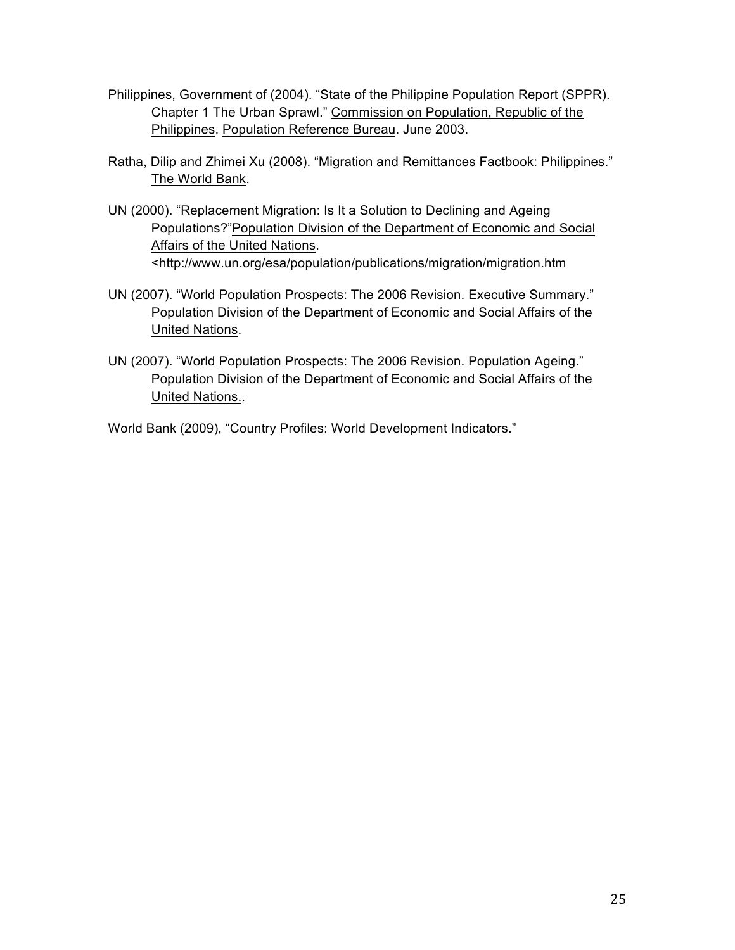- Philippines, Government of (2004). "State of the Philippine Population Report (SPPR). Chapter 1 The Urban Sprawl." Commission on Population, Republic of the Philippines. Population Reference Bureau. June 2003.
- Ratha, Dilip and Zhimei Xu (2008). "Migration and Remittances Factbook: Philippines." The World Bank.
- UN (2000). "Replacement Migration: Is It a Solution to Declining and Ageing Populations?"Population Division of the Department of Economic and Social Affairs of the United Nations. <http://www.un.org/esa/population/publications/migration/migration.htm
- UN (2007). "World Population Prospects: The 2006 Revision. Executive Summary." Population Division of the Department of Economic and Social Affairs of the United Nations.
- UN (2007). "World Population Prospects: The 2006 Revision. Population Ageing." Population Division of the Department of Economic and Social Affairs of the United Nations..

World Bank (2009), "Country Profiles: World Development Indicators."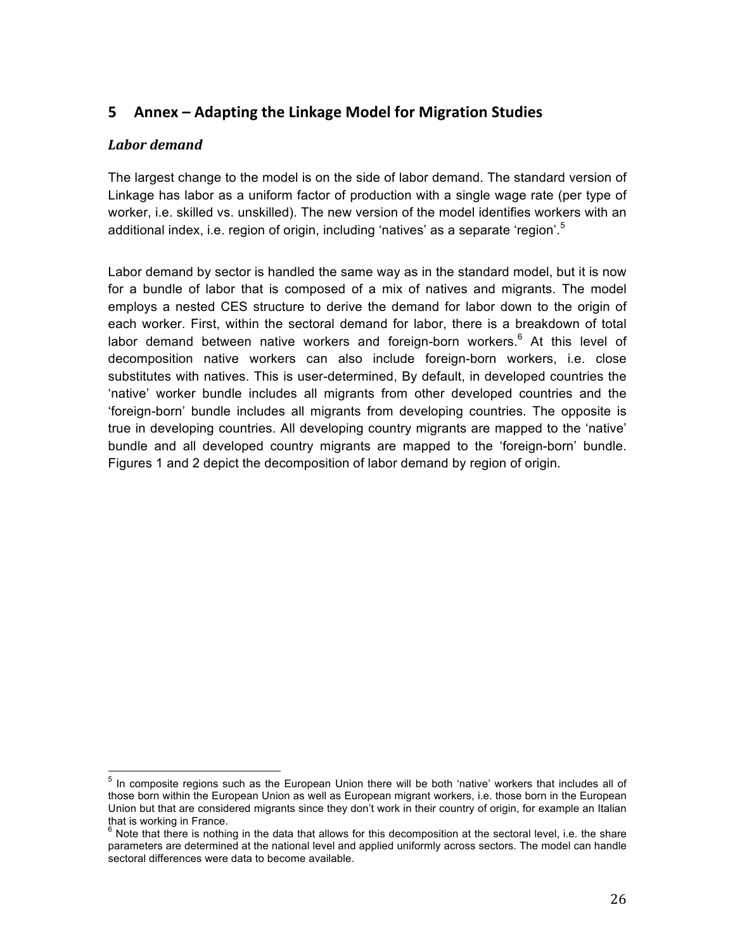# **5** Annex – Adapting the Linkage Model for Migration Studies

# *Labor demand*

The largest change to the model is on the side of labor demand. The standard version of Linkage has labor as a uniform factor of production with a single wage rate (per type of worker, i.e. skilled vs. unskilled). The new version of the model identifies workers with an additional index, i.e. region of origin, including 'natives' as a separate 'region'. $5$ 

Labor demand by sector is handled the same way as in the standard model, but it is now for a bundle of labor that is composed of a mix of natives and migrants. The model employs a nested CES structure to derive the demand for labor down to the origin of each worker. First, within the sectoral demand for labor, there is a breakdown of total labor demand between native workers and foreign-born workers. $6$  At this level of decomposition native workers can also include foreign-born workers, i.e. close substitutes with natives. This is user-determined, By default, in developed countries the 'native' worker bundle includes all migrants from other developed countries and the 'foreign-born' bundle includes all migrants from developing countries. The opposite is true in developing countries. All developing country migrants are mapped to the 'native' bundle and all developed country migrants are mapped to the 'foreign-born' bundle. Figures 1 and 2 depict the decomposition of labor demand by region of origin.

 <sup>5</sup> In composite regions such as the European Union there will be both 'native' workers that includes all of those born within the European Union as well as European migrant workers, i.e. those born in the European Union but that are considered migrants since they don't work in their country of origin, for example an Italian that is working in France.

<sup>6</sup> Note that there is nothing in the data that allows for this decomposition at the sectoral level, i.e. the share parameters are determined at the national level and applied uniformly across sectors. The model can handle sectoral differences were data to become available.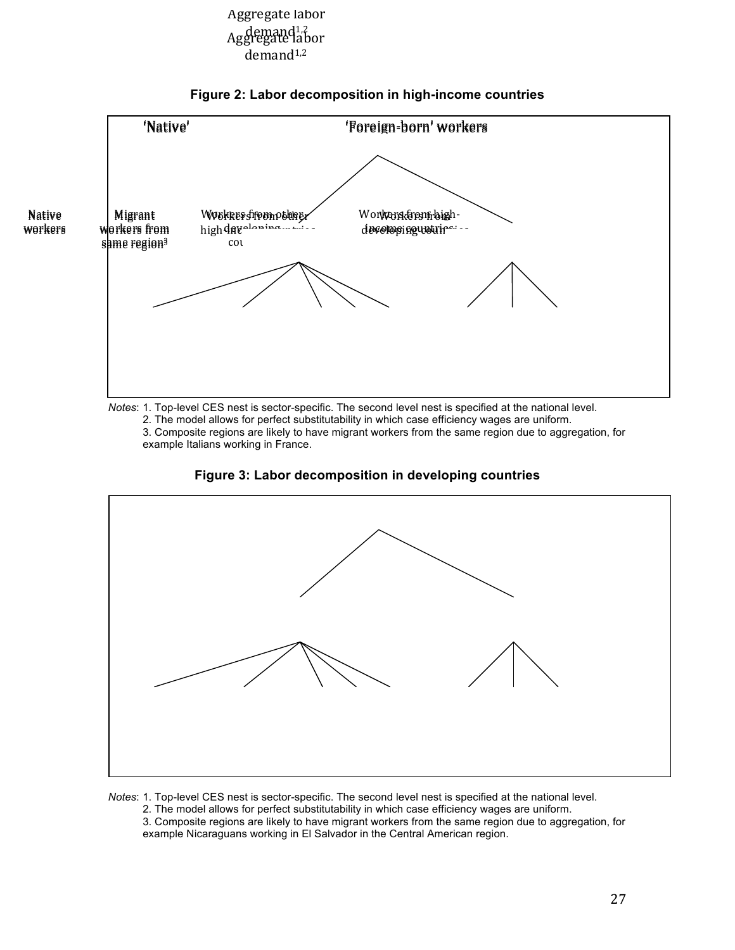# demand<sup>1,2</sup><br>Aggregate labor demand<sup>1,2</sup> Aggregate labor



## **Figure 2: Labor decomposition in high-income countries**

*Notes*: 1. Top-level CES nest is sector-specific. The second level nest is specified at the national level.

2. The model allows for perfect substitutability in which case efficiency wages are uniform.

3. Composite regions are likely to have migrant workers from the same region due to aggregation, for example Italians working in France.





*Notes*: 1. Top-level CES nest is sector-specific. The second level nest is specified at the national level. 2. The model allows for perfect substitutability in which case efficiency wages are uniform. 3. Composite regions are likely to have migrant workers from the same region due to aggregation, for example Nicaraguans working in El Salvador in the Central American region.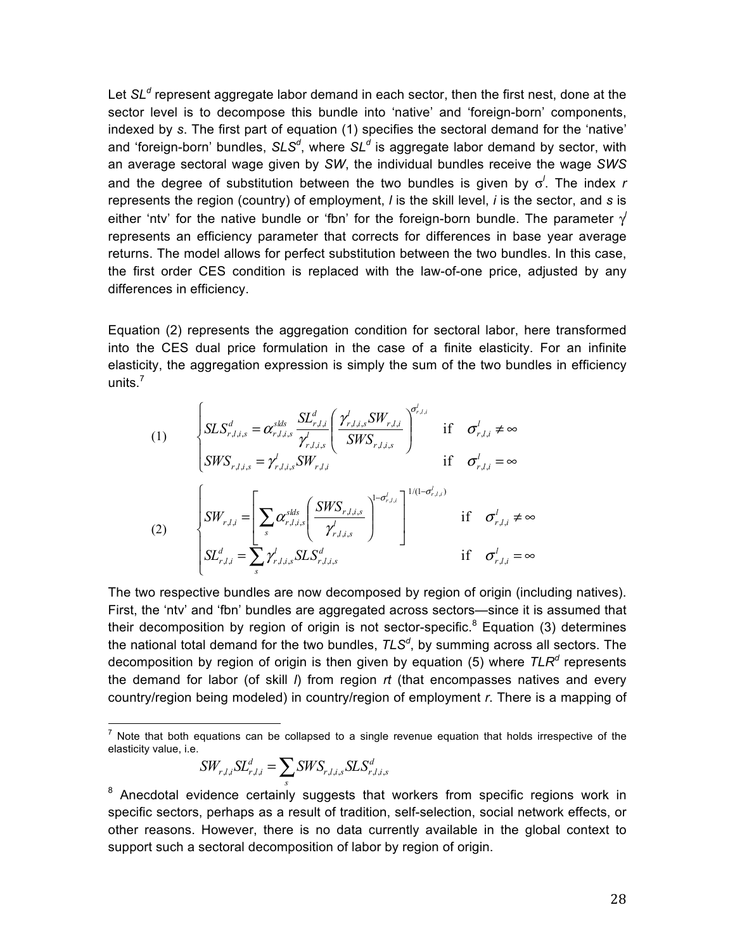Let *SL<sup>d</sup>* represent aggregate labor demand in each sector, then the first nest, done at the sector level is to decompose this bundle into 'native' and 'foreign-born' components, indexed by *s*. The first part of equation (1) specifies the sectoral demand for the 'native' and 'foreign-born' bundles, *SLS<sup>d</sup>* , where *SL<sup>d</sup>* is aggregate labor demand by sector, with an average sectoral wage given by *SW*, the individual bundles receive the wage *SWS* and the degree of substitution between the two bundles is given by σ*<sup>l</sup>* . The index *r* represents the region (country) of employment, *l* is the skill level, *i* is the sector, and *s* is either 'ntv' for the native bundle or 'fbn' for the foreign-born bundle. The parameter  $\gamma$ represents an efficiency parameter that corrects for differences in base year average returns. The model allows for perfect substitution between the two bundles. In this case, the first order CES condition is replaced with the law-of-one price, adjusted by any differences in efficiency.

Equation (2) represents the aggregation condition for sectoral labor, here transformed into the CES dual price formulation in the case of a finite elasticity. For an infinite elasticity, the aggregation expression is simply the sum of the two bundles in efficiency units.<sup>7</sup>

(1)  
\n
$$
\begin{cases}\nSLS_{r,l,i,s}^d = \alpha_{r,l,i,s}^{slds} \frac{SL_{r,l,i}^d}{\gamma_{r,l,i,s}^l} \left( \frac{\gamma_{r,l,i,s}^l SW_{r,l,i}}{SWS_{r,l,i,s}} \right)^{\sigma_{r,l,i}^l} & \text{if } \sigma_{r,l,i}^l \neq \infty \\
SWS_{r,l,i,s} = \gamma_{r,l,i,s}^l SW_{r,l,i} & \text{if } \sigma_{r,l,i}^l = \infty \\
\frac{SU_{r,l,i}}{SW_{r,l,i}} = \left[ \sum_s \alpha_{r,l,i,s}^{slds} \left( \frac{SW_{r,l,i,s}}{\gamma_{r,l,i,s}^l} \right)^{1-\sigma_{r,l,i}^l} \right]^{1/(1-\sigma_{r,l,i}^l)} & \text{if } \sigma_{r,l,i}^l \neq \infty \\
SL_{r,l,i}^d = \sum_s \gamma_{r,l,i,s}^l SLS_{r,l,i,s}^d & \text{if } \sigma_{r,l,i}^l = \infty\n\end{cases}
$$

The two respective bundles are now decomposed by region of origin (including natives). First, the 'ntv' and 'fbn' bundles are aggregated across sectors—since it is assumed that their decomposition by region of origin is not sector-specific.<sup>8</sup> Equation (3) determines the national total demand for the two bundles, *TLS<sup>d</sup>* , by summing across all sectors. The decomposition by region of origin is then given by equation (5) where *TLR<sup>d</sup>* represents the demand for labor (of skill *l*) from region *rt* (that encompasses natives and every country/region being modeled) in country/region of employment *r*. There is a mapping of

$$
SW_{r,l,i}SL_{r,l,i}^d = \sum_s SWS_{r,l,i,s}SLS_{r,l,i,s}^d
$$

 $<sup>7</sup>$  Note that both equations can be collapsed to a single revenue equation that holds irrespective of the</sup> elasticity value, i.e.

 $8$  Anecdotal evidence certainly suggests that workers from specific regions work in specific sectors, perhaps as a result of tradition, self-selection, social network effects, or other reasons. However, there is no data currently available in the global context to support such a sectoral decomposition of labor by region of origin.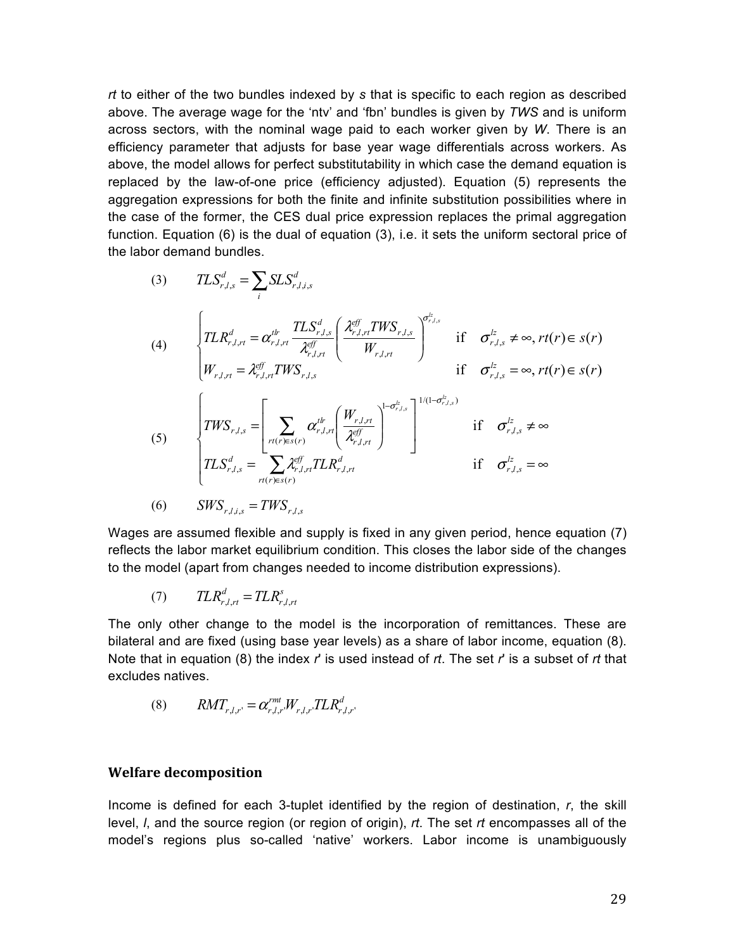*rt* to either of the two bundles indexed by *s* that is specific to each region as described above. The average wage for the 'ntv' and 'fbn' bundles is given by *TWS* and is uniform across sectors, with the nominal wage paid to each worker given by *W*. There is an efficiency parameter that adjusts for base year wage differentials across workers. As above, the model allows for perfect substitutability in which case the demand equation is replaced by the law-of-one price (efficiency adjusted). Equation (5) represents the aggregation expressions for both the finite and infinite substitution possibilities where in the case of the former, the CES dual price expression replaces the primal aggregation function. Equation (6) is the dual of equation (3), i.e. it sets the uniform sectoral price of the labor demand bundles.

(3) 
$$
TLS_{r,l,s}^{d} = \sum_{i} SLS_{r,l,i,s}^{d}
$$
\n(4) 
$$
\begin{cases}\nTLR_{r,l,r}^{d} = \alpha_{r,l,r}^{t} \frac{TLS_{r,l,s}^{d}}{\lambda_{r,l,r}^{eff}} \left(\frac{\lambda_{r,l,r}^{eff} TWS_{r,l,s}}{W_{r,l,rt}}\right)^{\sigma_{r,l,s}^{i}} & \text{if } \sigma_{r,l,s}^{lz} \neq \infty, rt(r) \in s(r) \\
W_{r,l,r} = \lambda_{r,l,r}^{eff} TWS_{r,l,s} & \text{if } \sigma_{r,l,s}^{lz} = \infty, rt(r) \in s(r)\n\end{cases}
$$
\n(5) 
$$
\begin{cases}\nTWS_{r,l,s} = \left[\sum_{r(t) \in s(r)} \alpha_{r,l,rt}^{t} \left(\frac{W_{r,l,rt}}{\lambda_{r,l,rt}^{eff}}\right)^{1-(\sigma_{r,l,s}^{lz})}\right]^{1/(1-\sigma_{r,l,s}^{lz})} & \text{if } \sigma_{r,l,s}^{lz} \neq \infty \\
TLS_{r,l,s}^{d} = \sum_{r(t) \in s(r)} \lambda_{r,l,r}^{eff} TLR_{r,l,rt}^{d} & \text{if } \sigma_{r,l,s}^{lz} = \infty \\
0 & SWS_{r,l,i,s} = TWS_{r,l,s}\n\end{cases}
$$

Wages are assumed flexible and supply is fixed in any given period, hence equation (7) reflects the labor market equilibrium condition. This closes the labor side of the changes to the model (apart from changes needed to income distribution expressions).

$$
(7) \qquad TLR_{r,l,rt}^d = TLR_{r,l,rt}^s
$$

The only other change to the model is the incorporation of remittances. These are bilateral and are fixed (using base year levels) as a share of labor income, equation (8). Note that in equation (8) the index *r*' is used instead of *rt*. The set *r*' is a subset of *rt* that excludes natives.

$$
(8) \qquad RMT_{r,l,r'} = \alpha_{r,l,r'}^{rmt} W_{r,l,r'} TLR_{r,l,r'}^d
$$

## **Welfare decomposition**

Income is defined for each 3-tuplet identified by the region of destination, *r*, the skill level, *l*, and the source region (or region of origin), *rt*. The set *rt* encompasses all of the model's regions plus so-called 'native' workers. Labor income is unambiguously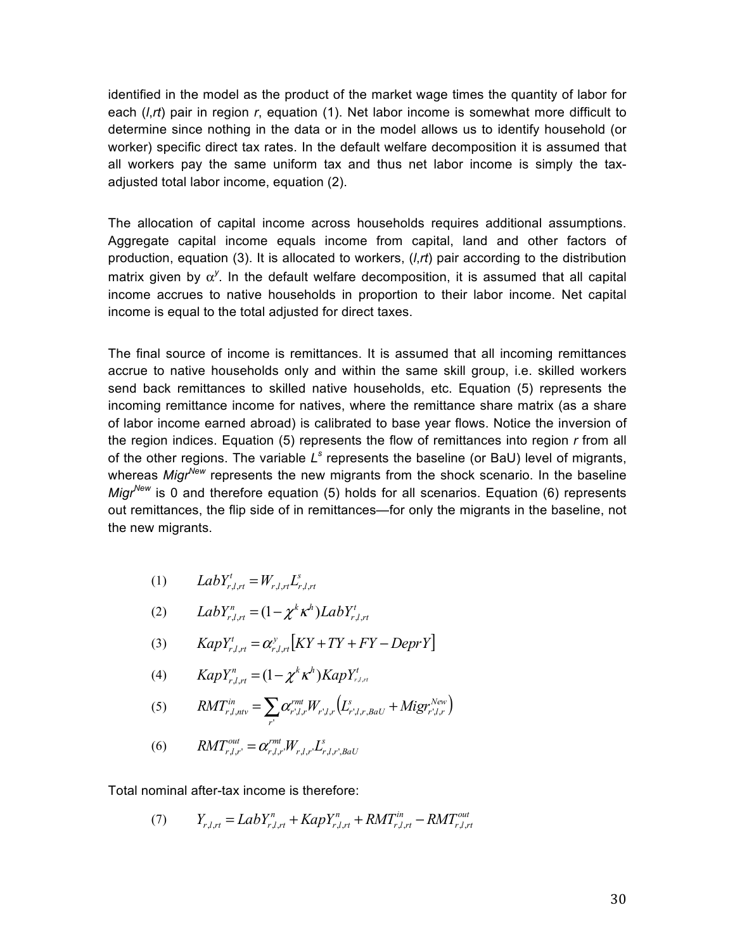identified in the model as the product of the market wage times the quantity of labor for each (*l*,*rt*) pair in region *r*, equation (1). Net labor income is somewhat more difficult to determine since nothing in the data or in the model allows us to identify household (or worker) specific direct tax rates. In the default welfare decomposition it is assumed that all workers pay the same uniform tax and thus net labor income is simply the taxadjusted total labor income, equation (2).

The allocation of capital income across households requires additional assumptions. Aggregate capital income equals income from capital, land and other factors of production, equation (3). It is allocated to workers, (*l*,*rt*) pair according to the distribution matrix given by  $\alpha^y$ . In the default welfare decomposition, it is assumed that all capital income accrues to native households in proportion to their labor income. Net capital income is equal to the total adjusted for direct taxes.

The final source of income is remittances. It is assumed that all incoming remittances accrue to native households only and within the same skill group, i.e. skilled workers send back remittances to skilled native households, etc. Equation (5) represents the incoming remittance income for natives, where the remittance share matrix (as a share of labor income earned abroad) is calibrated to base year flows. Notice the inversion of the region indices. Equation (5) represents the flow of remittances into region *r* from all of the other regions. The variable *L<sup>s</sup>* represents the baseline (or BaU) level of migrants, whereas *MigrNew* represents the new migrants from the shock scenario. In the baseline *Migr*<sup>New</sup> is 0 and therefore equation (5) holds for all scenarios. Equation (6) represents out remittances, the flip side of in remittances—for only the migrants in the baseline, not the new migrants.

$$
(1) \qquad LabY_{r,l,rt}^t = W_{r,l,rt}L_{r,l,rt}^s
$$

$$
(2) \qquad LabY_{r,l,rt}^{n} = (1 - \chi^{k}\kappa^{h})LabY_{r,l,rt}^{t}
$$

$$
(3) \qquad \text{KapY}_{r,l,rt}^{t} = \alpha_{r,l,rt}^{y} \big[ KY + TY + FY - DeprY \big]
$$

(4) 
$$
KapY_{r,l,rt}^{n} = (1 - \chi^{k} \kappa^{h})KapY_{r,l,rt}^{t}
$$

(5) 
$$
RMT_{r,l,niv}^{in} = \sum_{r'} \alpha_{r',l,r}^{rmt} W_{r',l,r} (L_{r',l,r,BaU}^s + Migr_{r',l,r}^{New})
$$

(6) 
$$
RMT_{r,l,r'}^{out} = \alpha_{r,l,r'}^{rmt'} W_{r,l,r'} L_{r,l,r',BaU}^s
$$

Total nominal after-tax income is therefore:

(7) 
$$
Y_{r,l,rt} = LabY_{r,l,rt}^{n} + KapY_{r,l,rt}^{n} + RMT_{r,l,rt}^{in} - RMT_{r,l,rt}^{out}
$$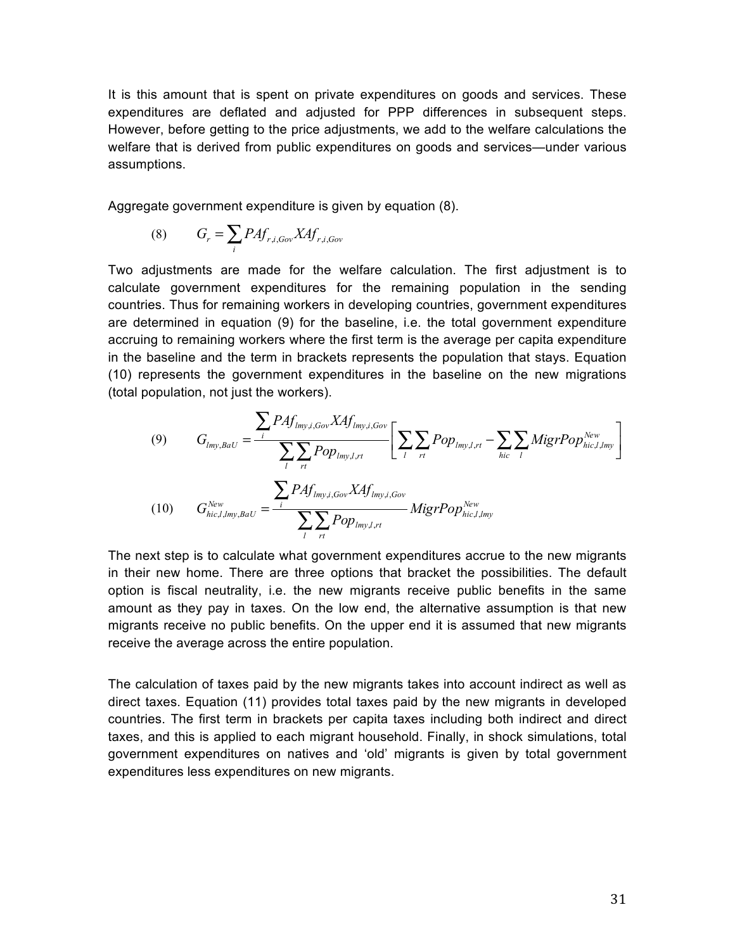It is this amount that is spent on private expenditures on goods and services. These expenditures are deflated and adjusted for PPP differences in subsequent steps. However, before getting to the price adjustments, we add to the welfare calculations the welfare that is derived from public expenditures on goods and services—under various assumptions.

Aggregate government expenditure is given by equation (8).

$$
(8) \tG_r = \sum_i P A f_{r,i, Gov} X A f_{r,i, Gov}
$$

Two adjustments are made for the welfare calculation. The first adjustment is to calculate government expenditures for the remaining population in the sending countries. Thus for remaining workers in developing countries, government expenditures are determined in equation (9) for the baseline, i.e. the total government expenditure accruing to remaining workers where the first term is the average per capita expenditure in the baseline and the term in brackets represents the population that stays. Equation (10) represents the government expenditures in the baseline on the new migrations (total population, not just the workers).

(9) 
$$
G_{lmy, BaU} = \frac{\sum_{i} PAf_{lmy,i, Gov} XAf_{lmy,i, Gov}}{\sum_{i} \sum_{r_l} Pop_{lmy,l,r_l}} \left[ \sum_{i} \sum_{r_l} Pop_{lmy,l,r_l} - \sum_{hi c} \sum_{i} MigrPop_{hi c,l,lmy}^{New} \right]
$$
  
(10) 
$$
G_{hi c,l,lmy, BaU}^{New} = \frac{\sum_{i} PAf_{lmy,i, Gov} XAf_{lmy,i, Gov}}{\sum_{i} \sum_{r_l} Pop_{lmy,l,r_l}} MigrPop_{hi c,l,lmy}^{New}
$$

The next step is to calculate what government expenditures accrue to the new migrants in their new home. There are three options that bracket the possibilities. The default option is fiscal neutrality, i.e. the new migrants receive public benefits in the same amount as they pay in taxes. On the low end, the alternative assumption is that new migrants receive no public benefits. On the upper end it is assumed that new migrants receive the average across the entire population.

The calculation of taxes paid by the new migrants takes into account indirect as well as direct taxes. Equation (11) provides total taxes paid by the new migrants in developed countries. The first term in brackets per capita taxes including both indirect and direct taxes, and this is applied to each migrant household. Finally, in shock simulations, total government expenditures on natives and 'old' migrants is given by total government expenditures less expenditures on new migrants.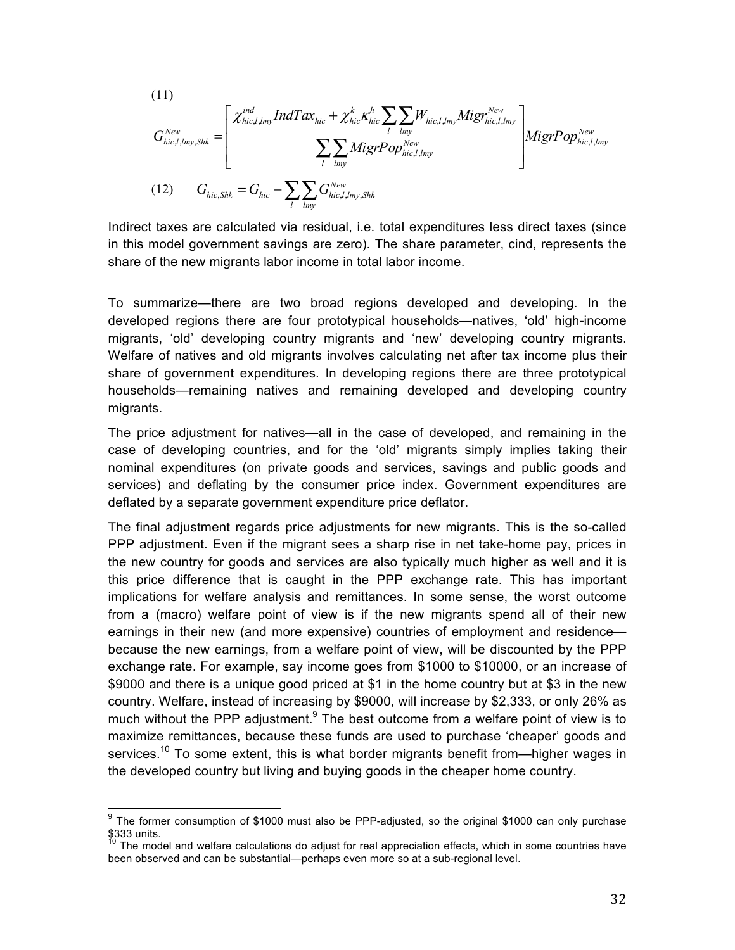(11)  
\n
$$
G_{hic,l,lmy,Shk}^{New} = \left[ \frac{\chi_{hic,l,lmy}^{ind} IndTax_{hic} + \chi_{hic}^{k} \kappa_{hic}^{h} \sum_{l} \sum_{lmy} W_{hic,l,lmy} Migr_{hc,l,lmy}^{New}}{\sum_{l} \sum_{lmy} MigrPop_{hic,l,lmy}^{New}} \right] Migr^{New} \frac{Migr^{New}}{\int_{hc,l,lmy} Migr^{New}}
$$
\n(12) 
$$
G_{hic,Shk} = G_{hic} - \sum_{l} \sum_{lmy} G_{hic,l,lmy,Shk}^{New}
$$

Indirect taxes are calculated via residual, i.e. total expenditures less direct taxes (since in this model government savings are zero). The share parameter, cind, represents the share of the new migrants labor income in total labor income.

To summarize—there are two broad regions developed and developing. In the developed regions there are four prototypical households—natives, 'old' high-income migrants, 'old' developing country migrants and 'new' developing country migrants. Welfare of natives and old migrants involves calculating net after tax income plus their share of government expenditures. In developing regions there are three prototypical households—remaining natives and remaining developed and developing country migrants.

The price adjustment for natives—all in the case of developed, and remaining in the case of developing countries, and for the 'old' migrants simply implies taking their nominal expenditures (on private goods and services, savings and public goods and services) and deflating by the consumer price index. Government expenditures are deflated by a separate government expenditure price deflator.

The final adjustment regards price adjustments for new migrants. This is the so-called PPP adjustment. Even if the migrant sees a sharp rise in net take-home pay, prices in the new country for goods and services are also typically much higher as well and it is this price difference that is caught in the PPP exchange rate. This has important implications for welfare analysis and remittances. In some sense, the worst outcome from a (macro) welfare point of view is if the new migrants spend all of their new earnings in their new (and more expensive) countries of employment and residence because the new earnings, from a welfare point of view, will be discounted by the PPP exchange rate. For example, say income goes from \$1000 to \$10000, or an increase of \$9000 and there is a unique good priced at \$1 in the home country but at \$3 in the new country. Welfare, instead of increasing by \$9000, will increase by \$2,333, or only 26% as much without the PPP adjustment. $9$  The best outcome from a welfare point of view is to maximize remittances, because these funds are used to purchase 'cheaper' goods and services.<sup>10</sup> To some extent, this is what border migrants benefit from—higher wages in the developed country but living and buying goods in the cheaper home country.

<sup>&</sup>lt;sup>9</sup> The former consumption of \$1000 must also be PPP-adjusted, so the original \$1000 can only purchase  $$333$  units.

The model and welfare calculations do adjust for real appreciation effects, which in some countries have been observed and can be substantial—perhaps even more so at a sub-regional level.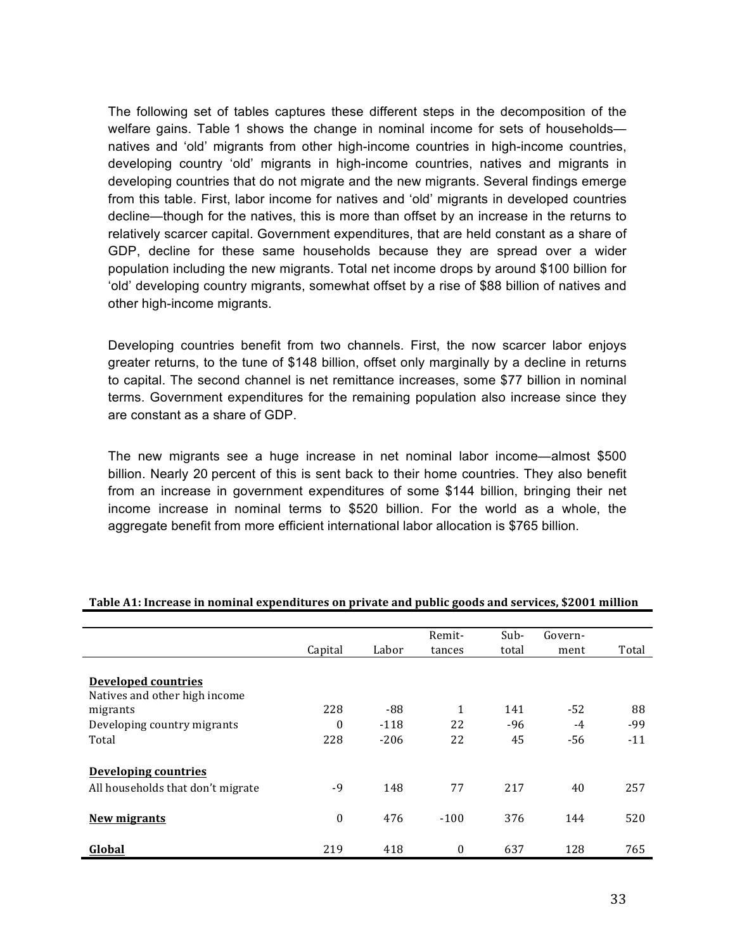The following set of tables captures these different steps in the decomposition of the welfare gains. Table 1 shows the change in nominal income for sets of households natives and 'old' migrants from other high-income countries in high-income countries, developing country 'old' migrants in high-income countries, natives and migrants in developing countries that do not migrate and the new migrants. Several findings emerge from this table. First, labor income for natives and 'old' migrants in developed countries decline—though for the natives, this is more than offset by an increase in the returns to relatively scarcer capital. Government expenditures, that are held constant as a share of GDP, decline for these same households because they are spread over a wider population including the new migrants. Total net income drops by around \$100 billion for 'old' developing country migrants, somewhat offset by a rise of \$88 billion of natives and other high-income migrants.

Developing countries benefit from two channels. First, the now scarcer labor enjoys greater returns, to the tune of \$148 billion, offset only marginally by a decline in returns to capital. The second channel is net remittance increases, some \$77 billion in nominal terms. Government expenditures for the remaining population also increase since they are constant as a share of GDP.

The new migrants see a huge increase in net nominal labor income—almost \$500 billion. Nearly 20 percent of this is sent back to their home countries. They also benefit from an increase in government expenditures of some \$144 billion, bringing their net income increase in nominal terms to \$520 billion. For the world as a whole, the aggregate benefit from more efficient international labor allocation is \$765 billion.

|                                   |                  |        | Remit-   | Sub-  | Govern- |       |
|-----------------------------------|------------------|--------|----------|-------|---------|-------|
|                                   | Capital          | Labor  | tances   | total | ment    | Total |
|                                   |                  |        |          |       |         |       |
| <b>Developed countries</b>        |                  |        |          |       |         |       |
| Natives and other high income     |                  |        |          |       |         |       |
| migrants                          | 228              | -88    | 1        | 141   | $-52$   | 88    |
| Developing country migrants       | $\theta$         | $-118$ | 22       | $-96$ | $-4$    | $-99$ |
| Total                             | 228              | $-206$ | 22       | 45    | $-56$   | $-11$ |
|                                   |                  |        |          |       |         |       |
| <b>Developing countries</b>       |                  |        |          |       |         |       |
| All households that don't migrate | $-9$             | 148    | 77       | 217   | 40      | 257   |
|                                   |                  |        |          |       |         |       |
|                                   |                  |        |          |       |         |       |
| <b>New migrants</b>               | $\boldsymbol{0}$ | 476    | $-100$   | 376   | 144     | 520   |
|                                   |                  |        |          |       |         |       |
| Global                            | 219              | 418    | $\bf{0}$ | 637   | 128     | 765   |

#### **Table A1: Increase in nominal expenditures on private and public goods and services, \$2001 million**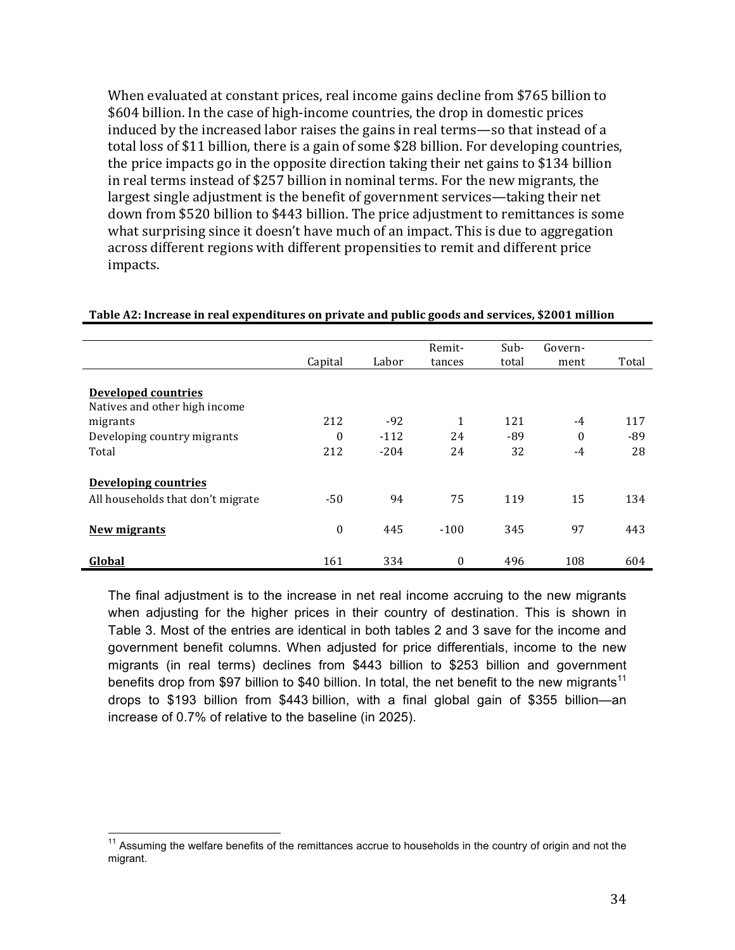When evaluated at constant prices, real income gains decline from \$765 billion to \$604 billion. In the case of high-income countries, the drop in domestic prices induced by the increased labor raises the gains in real terms—so that instead of a total loss of \$11 billion, there is a gain of some \$28 billion. For developing countries, the price impacts go in the opposite direction taking their net gains to \$134 billion in real terms instead of \$257 billion in nominal terms. For the new migrants, the largest single adjustment is the benefit of government services—taking their net down from \$520 billion to \$443 billion. The price adjustment to remittances is some what surprising since it doesn't have much of an impact. This is due to aggregation across different regions with different propensities to remit and different price impacts.

|                                                             |              | Labor  | Remit-       | Sub-  | Govern-  |       |
|-------------------------------------------------------------|--------------|--------|--------------|-------|----------|-------|
|                                                             | Capital      |        | tances       | total | ment     | Total |
| <b>Developed countries</b><br>Natives and other high income |              |        |              |       |          |       |
| migrants                                                    | 212          | $-92$  | 1            | 121   | $-4$     | 117   |
| Developing country migrants                                 | $\theta$     | $-112$ | 24           | -89   | $\theta$ | -89   |
| Total                                                       | 212          | $-204$ | 24           | 32    | $-4$     | 28    |
| <b>Developing countries</b>                                 |              |        |              |       |          |       |
| All households that don't migrate                           | $-50$        | 94     | 75           | 119   | 15       | 134   |
| <b>New migrants</b>                                         | $\mathbf{0}$ | 445    | $-100$       | 345   | 97       | 443   |
| Global                                                      | 161          | 334    | $\mathbf{0}$ | 496   | 108      | 604   |

#### Table A2: Increase in real expenditures on private and public goods and services, \$2001 million

The final adjustment is to the increase in net real income accruing to the new migrants when adjusting for the higher prices in their country of destination. This is shown in Table 3. Most of the entries are identical in both tables 2 and 3 save for the income and government benefit columns. When adjusted for price differentials, income to the new migrants (in real terms) declines from \$443 billion to \$253 billion and government benefits drop from \$97 billion to \$40 billion. In total, the net benefit to the new migrants<sup>11</sup> drops to \$193 billion from \$443 billion, with a final global gain of \$355 billion—an increase of 0.7% of relative to the baseline (in 2025).

<sup>&</sup>lt;sup>11</sup> Assuming the welfare benefits of the remittances accrue to households in the country of origin and not the migrant.